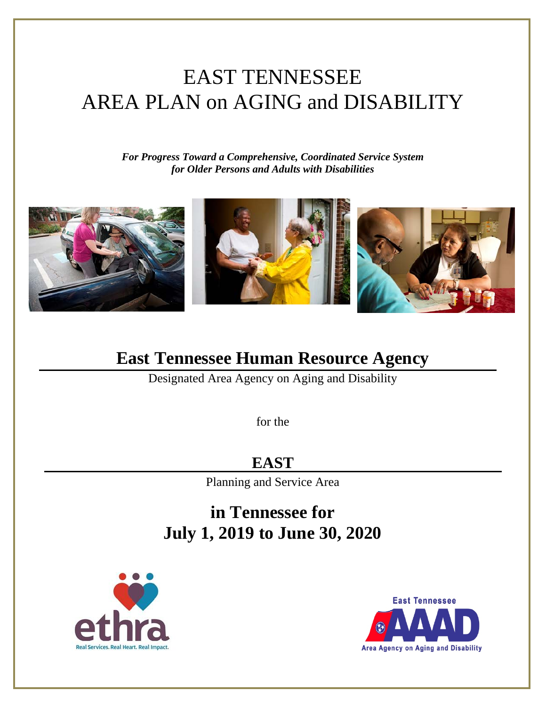# EAST TENNESSEE AREA PLAN on AGING and DISABILITY

*For Progress Toward a Comprehensive, Coordinated Service System for Older Persons and Adults with Disabilities*



# **East Tennessee Human Resource Agency**

Designated Area Agency on Aging and Disability

for the

**EAST**

Planning and Service Area

**in Tennessee for July 1, 2019 to June 30, 2020**





**Area Agency on Aging and Disability**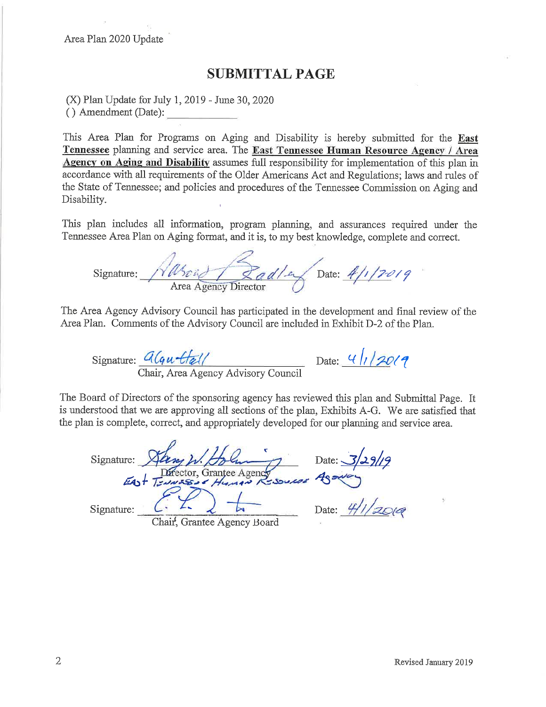Area Plan 2020 Update

#### **SUBMITTAL PAGE**

(X) Plan Update for July 1, 2019 - June 30, 2020 () Amendment (Date):

This Area Plan for Programs on Aging and Disability is hereby submitted for the East Tennessee planning and service area. The East Tennessee Human Resource Agency / Area Agency on Aging and Disability assumes full responsibility for implementation of this plan in accordance with all requirements of the Older Americans Act and Regulations; laws and rules of the State of Tennessee; and policies and procedures of the Tennessee Commission on Aging and Disability.

This plan includes all information, program planning, and assurances required under the Tennessee Area Plan on Aging format, and it is, to my best knowledge, complete and correct.

Signature:  $\sqrt{u_0^2 + 2 a d/2}$  Date:  $4/170/9$ 

The Area Agency Advisory Council has participated in the development and final review of the Area Plan. Comments of the Advisory Council are included in Exhibit D-2 of the Plan.

Signature:  $\frac{d(qu - H_{\mathscr{U}})}{h}$  Date:  $\frac{4}{120}$ 

The Board of Directors of the sponsoring agency has reviewed this plan and Submittal Page. It is understood that we are approving all sections of the plan, Exhibits A-G. We are satisfied that the plan is complete, correct, and appropriately developed for our planning and service area.

Signature: Sang W. Holm Date: 3/29/19<br>EAST Tennesse Human Resources Agency

Chair, Grantee Agency Board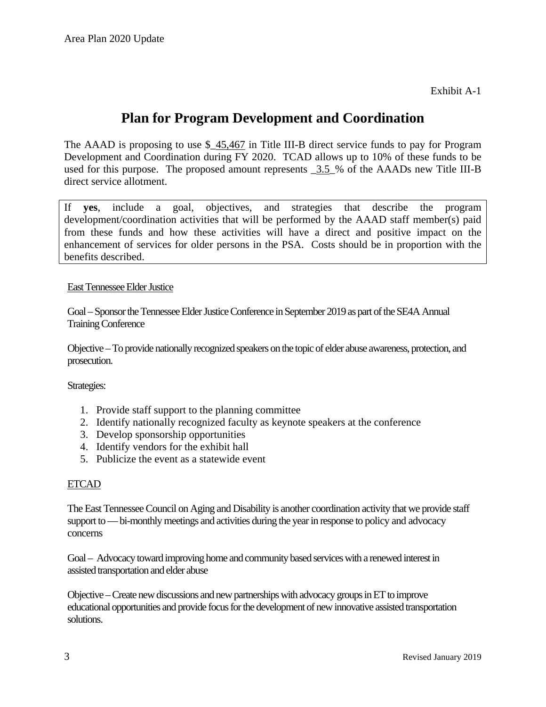Exhibit A-1

### **Plan for Program Development and Coordination**

The AAAD is proposing to use \$\_45,467 in Title III-B direct service funds to pay for Program Development and Coordination during FY 2020. TCAD allows up to 10% of these funds to be used for this purpose. The proposed amount represents  $3.5\%$  of the AAADs new Title III-B direct service allotment.

If **yes**, include a goal, objectives, and strategies that describe the program development/coordination activities that will be performed by the AAAD staff member(s) paid from these funds and how these activities will have a direct and positive impact on the enhancement of services for older persons in the PSA. Costs should be in proportion with the benefits described.

#### East Tennessee Elder Justice

Goal –Sponsor the Tennessee Elder Justice Conference in September 2019 as part of the SE4A Annual Training Conference

Objective –To provide nationally recognized speakers on the topic of elder abuse awareness, protection, and prosecution.

Strategies:

- 1. Provide staff support to the planning committee
- 2. Identify nationally recognized faculty as keynote speakers at the conference
- 3. Develop sponsorship opportunities
- 4. Identify vendors for the exhibit hall
- 5. Publicize the event as a statewide event

#### ETCAD

The East Tennessee Council on Aging and Disability is another coordination activity that we provide staff support to —bi-monthly meetings and activities during the year in response to policy and advocacy concerns

Goal – Advocacy toward improving home and community based services with a renewed interest in assisted transportation and elder abuse

Objective –Create new discussions and new partnerships with advocacy groups in ET to improve educational opportunities and provide focus for the development of new innovative assisted transportation solutions.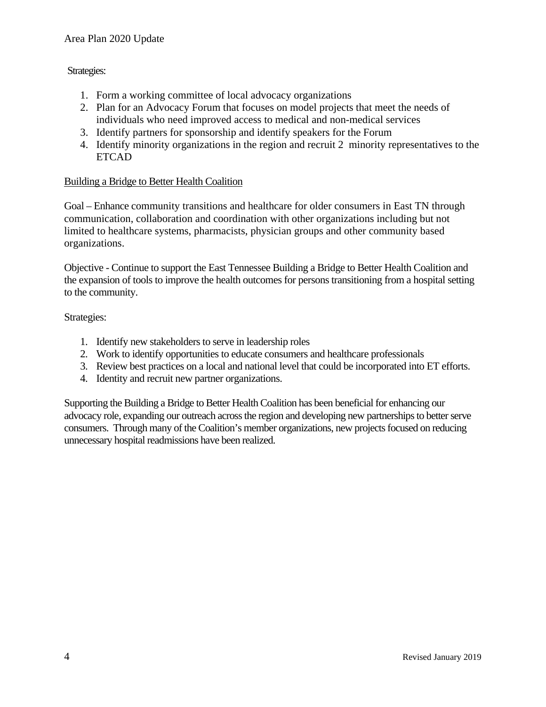#### Strategies:

- 1. Form a working committee of local advocacy organizations
- 2. Plan for an Advocacy Forum that focuses on model projects that meet the needs of individuals who need improved access to medical and non-medical services
- 3. Identify partners for sponsorship and identify speakers for the Forum
- 4. Identify minority organizations in the region and recruit 2 minority representatives to the ETCAD

#### Building a Bridge to Better Health Coalition

Goal – Enhance community transitions and healthcare for older consumers in East TN through communication, collaboration and coordination with other organizations including but not limited to healthcare systems, pharmacists, physician groups and other community based organizations.

Objective - Continue to support the East Tennessee Building a Bridge to Better Health Coalition and the expansion of tools to improve the health outcomes for persons transitioning from a hospital setting to the community.

#### Strategies:

- 1. Identify new stakeholders to serve in leadership roles
- 2. Work to identify opportunities to educate consumers and healthcare professionals
- 3. Review best practices on a local and national level that could be incorporated into ET efforts.
- 4. Identity and recruit new partner organizations.

Supporting the Building a Bridge to Better Health Coalition has been beneficial for enhancing our advocacy role, expanding our outreach across the region and developing new partnerships to better serve consumers. Through many of the Coalition's member organizations, new projects focused on reducing unnecessary hospital readmissions have been realized.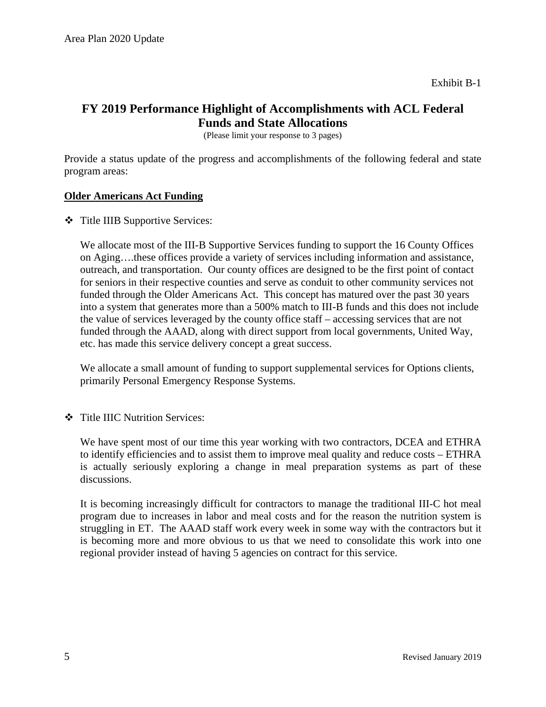#### **FY 2019 Performance Highlight of Accomplishments with ACL Federal Funds and State Allocations**

(Please limit your response to 3 pages)

Provide a status update of the progress and accomplishments of the following federal and state program areas:

#### **Older Americans Act Funding**

Title IIIB Supportive Services:

We allocate most of the III-B Supportive Services funding to support the 16 County Offices on Aging….these offices provide a variety of services including information and assistance, outreach, and transportation. Our county offices are designed to be the first point of contact for seniors in their respective counties and serve as conduit to other community services not funded through the Older Americans Act. This concept has matured over the past 30 years into a system that generates more than a 500% match to III-B funds and this does not include the value of services leveraged by the county office staff – accessing services that are not funded through the AAAD, along with direct support from local governments, United Way, etc. has made this service delivery concept a great success.

We allocate a small amount of funding to support supplemental services for Options clients, primarily Personal Emergency Response Systems.

Title IIIC Nutrition Services:

We have spent most of our time this year working with two contractors, DCEA and ETHRA to identify efficiencies and to assist them to improve meal quality and reduce costs – ETHRA is actually seriously exploring a change in meal preparation systems as part of these discussions.

It is becoming increasingly difficult for contractors to manage the traditional III-C hot meal program due to increases in labor and meal costs and for the reason the nutrition system is struggling in ET. The AAAD staff work every week in some way with the contractors but it is becoming more and more obvious to us that we need to consolidate this work into one regional provider instead of having 5 agencies on contract for this service.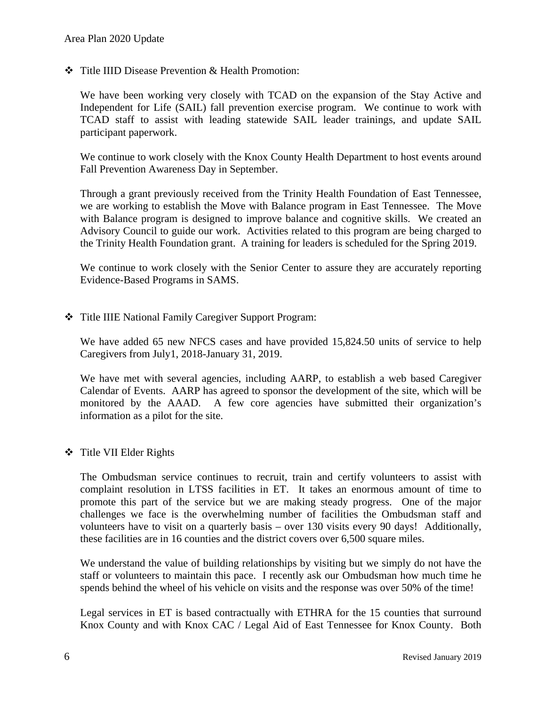Title IIID Disease Prevention & Health Promotion:

We have been working very closely with TCAD on the expansion of the Stay Active and Independent for Life (SAIL) fall prevention exercise program. We continue to work with TCAD staff to assist with leading statewide SAIL leader trainings, and update SAIL participant paperwork.

We continue to work closely with the Knox County Health Department to host events around Fall Prevention Awareness Day in September.

Through a grant previously received from the Trinity Health Foundation of East Tennessee, we are working to establish the Move with Balance program in East Tennessee. The Move with Balance program is designed to improve balance and cognitive skills. We created an Advisory Council to guide our work. Activities related to this program are being charged to the Trinity Health Foundation grant. A training for leaders is scheduled for the Spring 2019.

We continue to work closely with the Senior Center to assure they are accurately reporting Evidence-Based Programs in SAMS.

Title IIIE National Family Caregiver Support Program:

We have added 65 new NFCS cases and have provided 15,824.50 units of service to help Caregivers from July1, 2018-January 31, 2019.

We have met with several agencies, including AARP, to establish a web based Caregiver Calendar of Events. AARP has agreed to sponsor the development of the site, which will be monitored by the AAAD. A few core agencies have submitted their organization's information as a pilot for the site.

#### ❖ Title VII Elder Rights

The Ombudsman service continues to recruit, train and certify volunteers to assist with complaint resolution in LTSS facilities in ET. It takes an enormous amount of time to promote this part of the service but we are making steady progress. One of the major challenges we face is the overwhelming number of facilities the Ombudsman staff and volunteers have to visit on a quarterly basis – over 130 visits every 90 days! Additionally, these facilities are in 16 counties and the district covers over 6,500 square miles.

We understand the value of building relationships by visiting but we simply do not have the staff or volunteers to maintain this pace. I recently ask our Ombudsman how much time he spends behind the wheel of his vehicle on visits and the response was over 50% of the time!

Legal services in ET is based contractually with ETHRA for the 15 counties that surround Knox County and with Knox CAC / Legal Aid of East Tennessee for Knox County. Both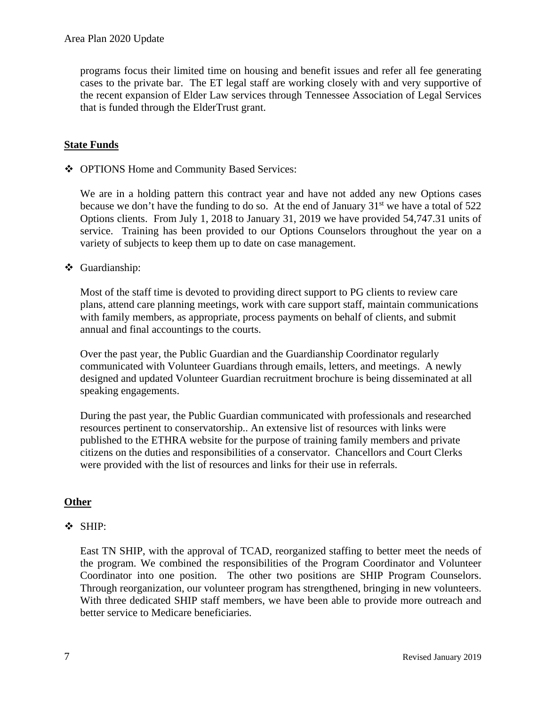programs focus their limited time on housing and benefit issues and refer all fee generating cases to the private bar. The ET legal staff are working closely with and very supportive of the recent expansion of Elder Law services through Tennessee Association of Legal Services that is funded through the ElderTrust grant.

#### **State Funds**

OPTIONS Home and Community Based Services:

We are in a holding pattern this contract year and have not added any new Options cases because we don't have the funding to do so. At the end of January  $31<sup>st</sup>$  we have a total of 522 Options clients. From July 1, 2018 to January 31, 2019 we have provided 54,747.31 units of service. Training has been provided to our Options Counselors throughout the year on a variety of subjects to keep them up to date on case management.

#### Guardianship:

Most of the staff time is devoted to providing direct support to PG clients to review care plans, attend care planning meetings, work with care support staff, maintain communications with family members, as appropriate, process payments on behalf of clients, and submit annual and final accountings to the courts.

Over the past year, the Public Guardian and the Guardianship Coordinator regularly communicated with Volunteer Guardians through emails, letters, and meetings. A newly designed and updated Volunteer Guardian recruitment brochure is being disseminated at all speaking engagements.

During the past year, the Public Guardian communicated with professionals and researched resources pertinent to conservatorship.. An extensive list of resources with links were published to the ETHRA website for the purpose of training family members and private citizens on the duties and responsibilities of a conservator. Chancellors and Court Clerks were provided with the list of resources and links for their use in referrals.

#### **Other**

#### SHIP:

East TN SHIP, with the approval of TCAD, reorganized staffing to better meet the needs of the program. We combined the responsibilities of the Program Coordinator and Volunteer Coordinator into one position. The other two positions are SHIP Program Counselors. Through reorganization, our volunteer program has strengthened, bringing in new volunteers. With three dedicated SHIP staff members, we have been able to provide more outreach and better service to Medicare beneficiaries.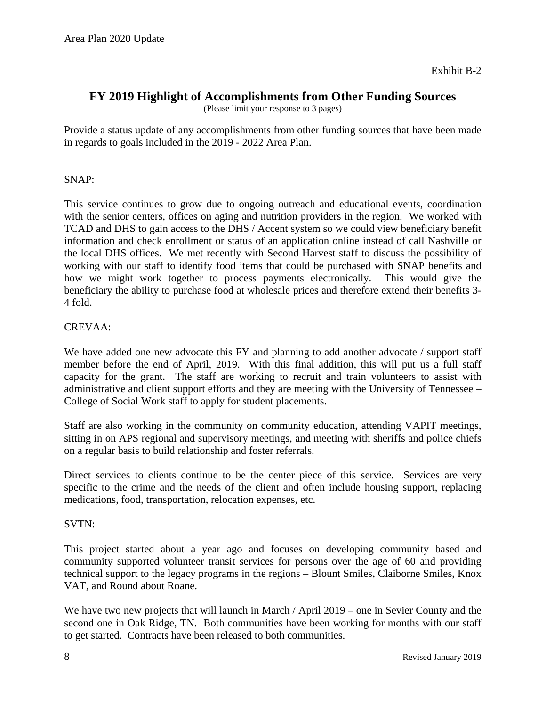Exhibit B-2

#### **FY 2019 Highlight of Accomplishments from Other Funding Sources**

(Please limit your response to 3 pages)

Provide a status update of any accomplishments from other funding sources that have been made in regards to goals included in the 2019 - 2022 Area Plan.

#### SNAP:

This service continues to grow due to ongoing outreach and educational events, coordination with the senior centers, offices on aging and nutrition providers in the region. We worked with TCAD and DHS to gain access to the DHS / Accent system so we could view beneficiary benefit information and check enrollment or status of an application online instead of call Nashville or the local DHS offices. We met recently with Second Harvest staff to discuss the possibility of working with our staff to identify food items that could be purchased with SNAP benefits and how we might work together to process payments electronically. This would give the beneficiary the ability to purchase food at wholesale prices and therefore extend their benefits 3- 4 fold.

#### CREVAA:

We have added one new advocate this FY and planning to add another advocate / support staff member before the end of April, 2019. With this final addition, this will put us a full staff capacity for the grant. The staff are working to recruit and train volunteers to assist with administrative and client support efforts and they are meeting with the University of Tennessee – College of Social Work staff to apply for student placements.

Staff are also working in the community on community education, attending VAPIT meetings, sitting in on APS regional and supervisory meetings, and meeting with sheriffs and police chiefs on a regular basis to build relationship and foster referrals.

Direct services to clients continue to be the center piece of this service. Services are very specific to the crime and the needs of the client and often include housing support, replacing medications, food, transportation, relocation expenses, etc.

#### SVTN:

This project started about a year ago and focuses on developing community based and community supported volunteer transit services for persons over the age of 60 and providing technical support to the legacy programs in the regions – Blount Smiles, Claiborne Smiles, Knox VAT, and Round about Roane.

We have two new projects that will launch in March / April 2019 – one in Sevier County and the second one in Oak Ridge, TN. Both communities have been working for months with our staff to get started. Contracts have been released to both communities.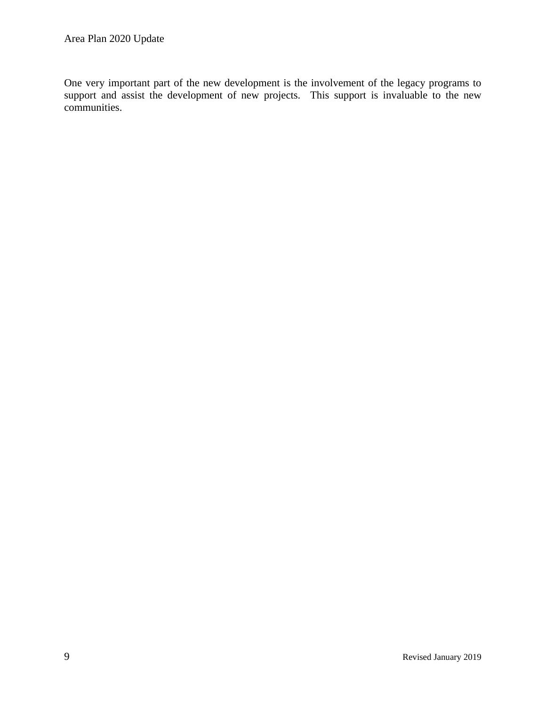One very important part of the new development is the involvement of the legacy programs to support and assist the development of new projects. This support is invaluable to the new communities.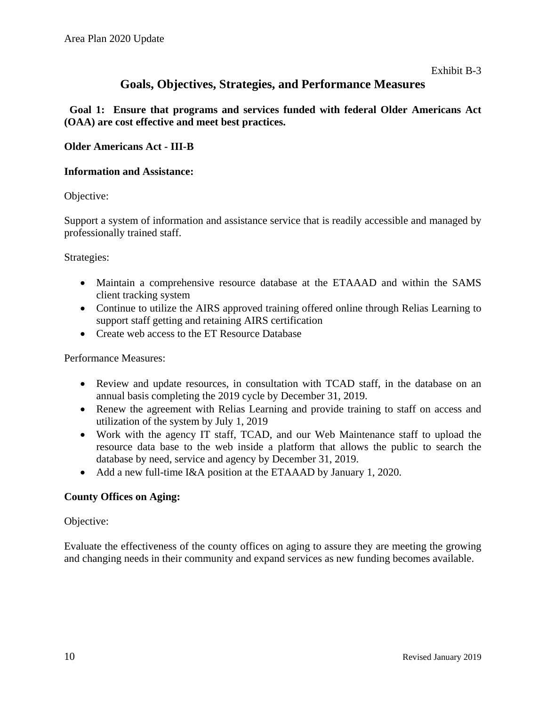#### **Goals, Objectives, Strategies, and Performance Measures**

 **Goal 1: Ensure that programs and services funded with federal Older Americans Act (OAA) are cost effective and meet best practices.**

#### **Older Americans Act - III-B**

#### **Information and Assistance:**

Objective:

Support a system of information and assistance service that is readily accessible and managed by professionally trained staff.

Strategies:

- Maintain a comprehensive resource database at the ETAAAD and within the SAMS client tracking system
- Continue to utilize the AIRS approved training offered online through Relias Learning to support staff getting and retaining AIRS certification
- Create web access to the ET Resource Database

Performance Measures:

- Review and update resources, in consultation with TCAD staff, in the database on an annual basis completing the 2019 cycle by December 31, 2019.
- Renew the agreement with Relias Learning and provide training to staff on access and utilization of the system by July 1, 2019
- Work with the agency IT staff, TCAD, and our Web Maintenance staff to upload the resource data base to the web inside a platform that allows the public to search the database by need, service and agency by December 31, 2019.
- Add a new full-time I&A position at the ETAAAD by January 1, 2020.

#### **County Offices on Aging:**

#### Objective:

Evaluate the effectiveness of the county offices on aging to assure they are meeting the growing and changing needs in their community and expand services as new funding becomes available.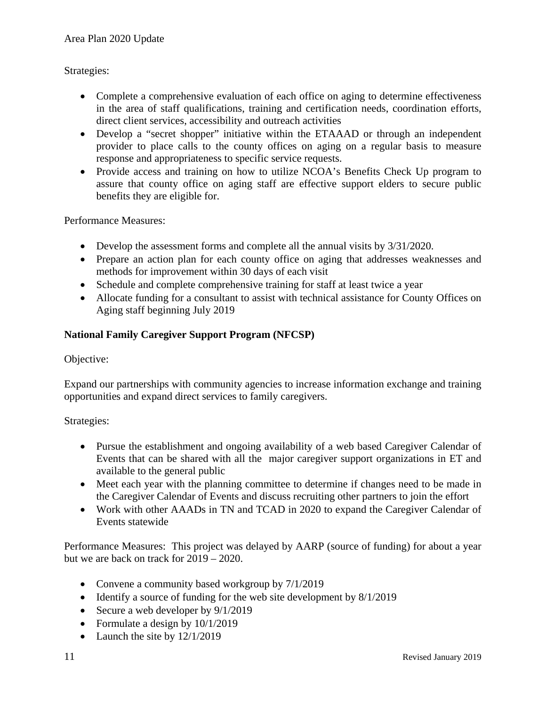#### Strategies:

- Complete a comprehensive evaluation of each office on aging to determine effectiveness in the area of staff qualifications, training and certification needs, coordination efforts, direct client services, accessibility and outreach activities
- Develop a "secret shopper" initiative within the ETAAAD or through an independent provider to place calls to the county offices on aging on a regular basis to measure response and appropriateness to specific service requests.
- Provide access and training on how to utilize NCOA's Benefits Check Up program to assure that county office on aging staff are effective support elders to secure public benefits they are eligible for.

Performance Measures:

- Develop the assessment forms and complete all the annual visits by  $3/31/2020$ .
- Prepare an action plan for each county office on aging that addresses weaknesses and methods for improvement within 30 days of each visit
- Schedule and complete comprehensive training for staff at least twice a year
- Allocate funding for a consultant to assist with technical assistance for County Offices on Aging staff beginning July 2019

#### **National Family Caregiver Support Program (NFCSP)**

#### Objective:

Expand our partnerships with community agencies to increase information exchange and training opportunities and expand direct services to family caregivers.

#### Strategies:

- Pursue the establishment and ongoing availability of a web based Caregiver Calendar of Events that can be shared with all the major caregiver support organizations in ET and available to the general public
- Meet each year with the planning committee to determine if changes need to be made in the Caregiver Calendar of Events and discuss recruiting other partners to join the effort
- Work with other AAADs in TN and TCAD in 2020 to expand the Caregiver Calendar of Events statewide

Performance Measures: This project was delayed by AARP (source of funding) for about a year but we are back on track for 2019 – 2020.

- Convene a community based workgroup by  $7/1/2019$
- Identify a source of funding for the web site development by  $8/1/2019$
- Secure a web developer by  $9/1/2019$
- Formulate a design by  $10/1/2019$
- Launch the site by  $12/1/2019$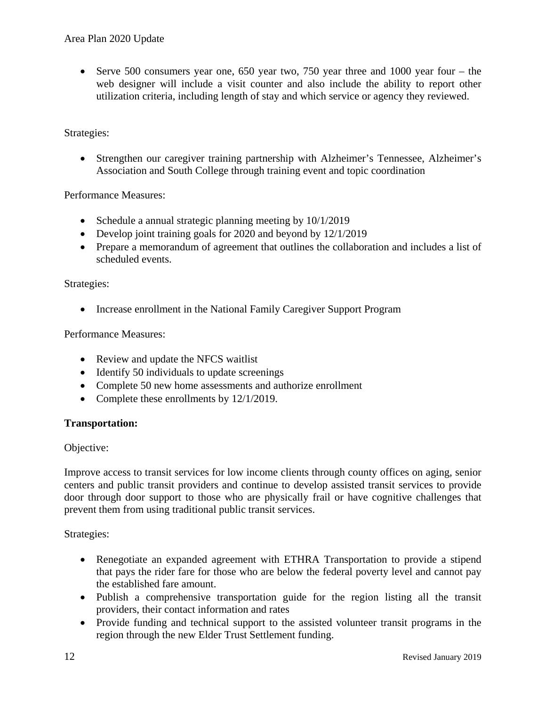• Serve 500 consumers year one, 650 year two, 750 year three and 1000 year four – the web designer will include a visit counter and also include the ability to report other utilization criteria, including length of stay and which service or agency they reviewed.

#### Strategies:

• Strengthen our caregiver training partnership with Alzheimer's Tennessee, Alzheimer's Association and South College through training event and topic coordination

Performance Measures:

- Schedule a annual strategic planning meeting by  $10/1/2019$
- Develop joint training goals for 2020 and beyond by 12/1/2019
- Prepare a memorandum of agreement that outlines the collaboration and includes a list of scheduled events.

#### Strategies:

• Increase enrollment in the National Family Caregiver Support Program

Performance Measures:

- Review and update the NFCS waitlist
- Identify 50 individuals to update screenings
- Complete 50 new home assessments and authorize enrollment
- Complete these enrollments by  $12/1/2019$ .

#### **Transportation:**

#### Objective:

Improve access to transit services for low income clients through county offices on aging, senior centers and public transit providers and continue to develop assisted transit services to provide door through door support to those who are physically frail or have cognitive challenges that prevent them from using traditional public transit services.

- Renegotiate an expanded agreement with ETHRA Transportation to provide a stipend that pays the rider fare for those who are below the federal poverty level and cannot pay the established fare amount.
- Publish a comprehensive transportation guide for the region listing all the transit providers, their contact information and rates
- Provide funding and technical support to the assisted volunteer transit programs in the region through the new Elder Trust Settlement funding.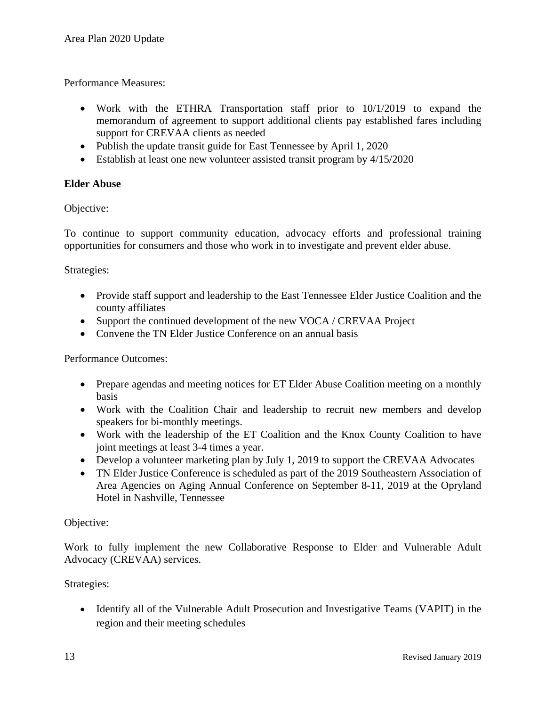Performance Measures:

- Work with the ETHRA Transportation staff prior to  $10/1/2019$  to expand the memorandum of agreement to support additional clients pay established fares including support for CREVAA clients as needed
- Publish the update transit guide for East Tennessee by April 1, 2020
- Establish at least one new volunteer assisted transit program by  $4/15/2020$

#### **Elder Abuse**

Objective:

To continue to support community education, advocacy efforts and professional training opportunities for consumers and those who work in to investigate and prevent elder abuse.

Strategies:

- Provide staff support and leadership to the East Tennessee Elder Justice Coalition and the county affiliates
- Support the continued development of the new VOCA / CREVAA Project
- Convene the TN Elder Justice Conference on an annual basis

Performance Outcomes:

- Prepare agendas and meeting notices for ET Elder Abuse Coalition meeting on a monthly basis
- Work with the Coalition Chair and leadership to recruit new members and develop speakers for bi-monthly meetings.
- Work with the leadership of the ET Coalition and the Knox County Coalition to have joint meetings at least 3-4 times a year.
- Develop a volunteer marketing plan by July 1, 2019 to support the CREVAA Advocates
- TN Elder Justice Conference is scheduled as part of the 2019 Southeastern Association of Area Agencies on Aging Annual Conference on September 8-11, 2019 at the Opryland Hotel in Nashville, Tennessee

#### Objective:

Work to fully implement the new Collaborative Response to Elder and Vulnerable Adult Advocacy (CREVAA) services.

Strategies:

• Identify all of the Vulnerable Adult Prosecution and Investigative Teams (VAPIT) in the region and their meeting schedules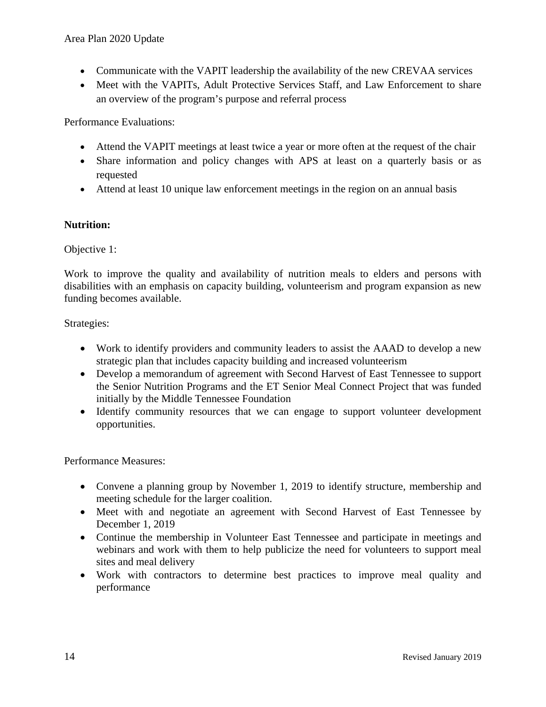- Communicate with the VAPIT leadership the availability of the new CREVAA services
- Meet with the VAPITs, Adult Protective Services Staff, and Law Enforcement to share an overview of the program's purpose and referral process

Performance Evaluations:

- Attend the VAPIT meetings at least twice a year or more often at the request of the chair
- Share information and policy changes with APS at least on a quarterly basis or as requested
- Attend at least 10 unique law enforcement meetings in the region on an annual basis

#### **Nutrition:**

#### Objective 1:

Work to improve the quality and availability of nutrition meals to elders and persons with disabilities with an emphasis on capacity building, volunteerism and program expansion as new funding becomes available.

#### Strategies:

- Work to identify providers and community leaders to assist the AAAD to develop a new strategic plan that includes capacity building and increased volunteerism
- Develop a memorandum of agreement with Second Harvest of East Tennessee to support the Senior Nutrition Programs and the ET Senior Meal Connect Project that was funded initially by the Middle Tennessee Foundation
- Identify community resources that we can engage to support volunteer development opportunities.

- Convene a planning group by November 1, 2019 to identify structure, membership and meeting schedule for the larger coalition.
- Meet with and negotiate an agreement with Second Harvest of East Tennessee by December 1, 2019
- Continue the membership in Volunteer East Tennessee and participate in meetings and webinars and work with them to help publicize the need for volunteers to support meal sites and meal delivery
- Work with contractors to determine best practices to improve meal quality and performance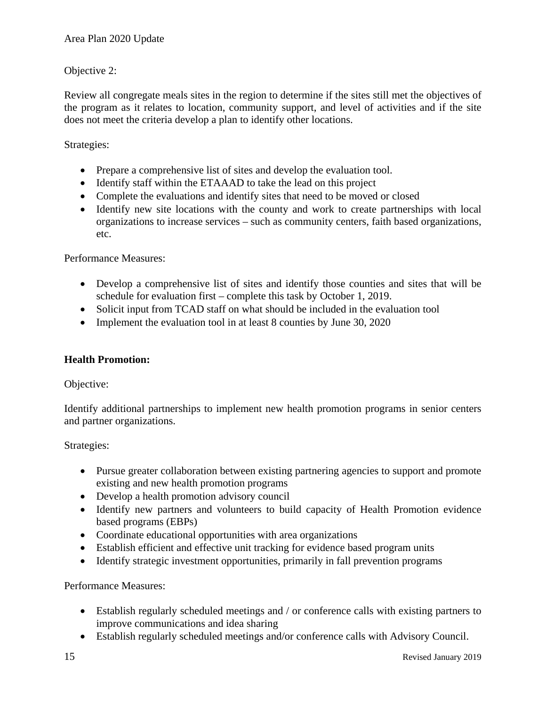#### Objective 2:

Review all congregate meals sites in the region to determine if the sites still met the objectives of the program as it relates to location, community support, and level of activities and if the site does not meet the criteria develop a plan to identify other locations.

#### Strategies:

- Prepare a comprehensive list of sites and develop the evaluation tool.
- Identify staff within the ETAAAD to take the lead on this project
- Complete the evaluations and identify sites that need to be moved or closed
- Identify new site locations with the county and work to create partnerships with local organizations to increase services – such as community centers, faith based organizations, etc.

Performance Measures:

- Develop a comprehensive list of sites and identify those counties and sites that will be schedule for evaluation first – complete this task by October 1, 2019.
- Solicit input from TCAD staff on what should be included in the evaluation tool
- Implement the evaluation tool in at least 8 counties by June 30, 2020

#### **Health Promotion:**

Objective:

Identify additional partnerships to implement new health promotion programs in senior centers and partner organizations.

Strategies:

- Pursue greater collaboration between existing partnering agencies to support and promote existing and new health promotion programs
- Develop a health promotion advisory council
- Identify new partners and volunteers to build capacity of Health Promotion evidence based programs (EBPs)
- Coordinate educational opportunities with area organizations
- Establish efficient and effective unit tracking for evidence based program units
- Identify strategic investment opportunities, primarily in fall prevention programs

- Establish regularly scheduled meetings and / or conference calls with existing partners to improve communications and idea sharing
- Establish regularly scheduled meetings and/or conference calls with Advisory Council.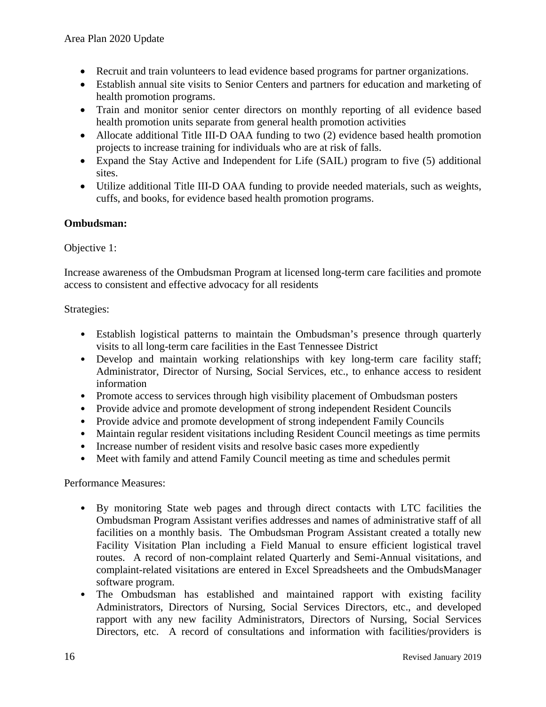- Recruit and train volunteers to lead evidence based programs for partner organizations.
- Establish annual site visits to Senior Centers and partners for education and marketing of health promotion programs.
- Train and monitor senior center directors on monthly reporting of all evidence based health promotion units separate from general health promotion activities
- Allocate additional Title III-D OAA funding to two (2) evidence based health promotion projects to increase training for individuals who are at risk of falls.
- Expand the Stay Active and Independent for Life (SAIL) program to five (5) additional sites.
- Utilize additional Title III-D OAA funding to provide needed materials, such as weights, cuffs, and books, for evidence based health promotion programs.

#### **Ombudsman:**

#### Objective 1:

Increase awareness of the Ombudsman Program at licensed long-term care facilities and promote access to consistent and effective advocacy for all residents

#### Strategies:

- Establish logistical patterns to maintain the Ombudsman's presence through quarterly visits to all long-term care facilities in the East Tennessee District
- Develop and maintain working relationships with key long-term care facility staff; Administrator, Director of Nursing, Social Services, etc., to enhance access to resident information
- Promote access to services through high visibility placement of Ombudsman posters
- Provide advice and promote development of strong independent Resident Councils
- Provide advice and promote development of strong independent Family Councils
- Maintain regular resident visitations including Resident Council meetings as time permits
- Increase number of resident visits and resolve basic cases more expediently
- Meet with family and attend Family Council meeting as time and schedules permit

- By monitoring State web pages and through direct contacts with LTC facilities the Ombudsman Program Assistant verifies addresses and names of administrative staff of all facilities on a monthly basis. The Ombudsman Program Assistant created a totally new Facility Visitation Plan including a Field Manual to ensure efficient logistical travel routes. A record of non-complaint related Quarterly and Semi-Annual visitations, and complaint-related visitations are entered in Excel Spreadsheets and the OmbudsManager software program.
- The Ombudsman has established and maintained rapport with existing facility Administrators, Directors of Nursing, Social Services Directors, etc., and developed rapport with any new facility Administrators, Directors of Nursing, Social Services Directors, etc. A record of consultations and information with facilities/providers is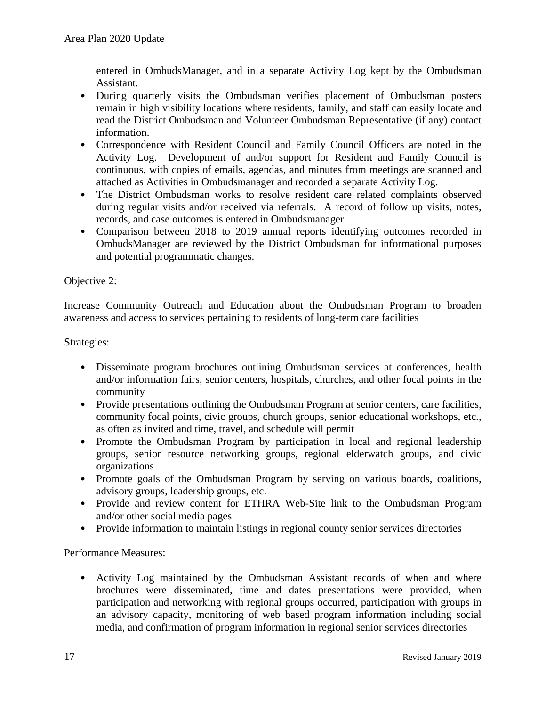entered in OmbudsManager, and in a separate Activity Log kept by the Ombudsman Assistant.

- During quarterly visits the Ombudsman verifies placement of Ombudsman posters remain in high visibility locations where residents, family, and staff can easily locate and read the District Ombudsman and Volunteer Ombudsman Representative (if any) contact information.
- Correspondence with Resident Council and Family Council Officers are noted in the Activity Log. Development of and/or support for Resident and Family Council is continuous, with copies of emails, agendas, and minutes from meetings are scanned and attached as Activities in Ombudsmanager and recorded a separate Activity Log.
- The District Ombudsman works to resolve resident care related complaints observed during regular visits and/or received via referrals. A record of follow up visits, notes, records, and case outcomes is entered in Ombudsmanager.
- Comparison between 2018 to 2019 annual reports identifying outcomes recorded in OmbudsManager are reviewed by the District Ombudsman for informational purposes and potential programmatic changes.

#### Objective 2:

Increase Community Outreach and Education about the Ombudsman Program to broaden awareness and access to services pertaining to residents of long-term care facilities

Strategies:

- Disseminate program brochures outlining Ombudsman services at conferences, health and/or information fairs, senior centers, hospitals, churches, and other focal points in the community
- Provide presentations outlining the Ombudsman Program at senior centers, care facilities, community focal points, civic groups, church groups, senior educational workshops, etc., as often as invited and time, travel, and schedule will permit
- Promote the Ombudsman Program by participation in local and regional leadership groups, senior resource networking groups, regional elderwatch groups, and civic organizations
- Promote goals of the Ombudsman Program by serving on various boards, coalitions, advisory groups, leadership groups, etc.
- Provide and review content for ETHRA Web-Site link to the Ombudsman Program and/or other social media pages
- Provide information to maintain listings in regional county senior services directories

Performance Measures:

• Activity Log maintained by the Ombudsman Assistant records of when and where brochures were disseminated, time and dates presentations were provided, when participation and networking with regional groups occurred, participation with groups in an advisory capacity, monitoring of web based program information including social media, and confirmation of program information in regional senior services directories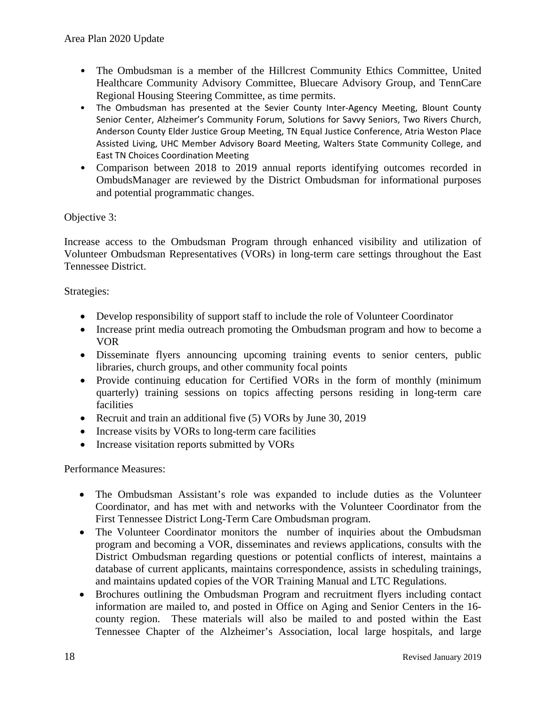- The Ombudsman is a member of the Hillcrest Community Ethics Committee, United Healthcare Community Advisory Committee, Bluecare Advisory Group, and TennCare Regional Housing Steering Committee, as time permits.
- The Ombudsman has presented at the Sevier County Inter-Agency Meeting, Blount County Senior Center, Alzheimer's Community Forum, Solutions for Savvy Seniors, Two Rivers Church, Anderson County Elder Justice Group Meeting, TN Equal Justice Conference, Atria Weston Place Assisted Living, UHC Member Advisory Board Meeting, Walters State Community College, and East TN Choices Coordination Meeting
- Comparison between 2018 to 2019 annual reports identifying outcomes recorded in OmbudsManager are reviewed by the District Ombudsman for informational purposes and potential programmatic changes.

#### Objective 3:

Increase access to the Ombudsman Program through enhanced visibility and utilization of Volunteer Ombudsman Representatives (VORs) in long-term care settings throughout the East Tennessee District.

#### Strategies:

- Develop responsibility of support staff to include the role of Volunteer Coordinator
- Increase print media outreach promoting the Ombudsman program and how to become a VOR
- Disseminate flyers announcing upcoming training events to senior centers, public libraries, church groups, and other community focal points
- Provide continuing education for Certified VORs in the form of monthly (minimum quarterly) training sessions on topics affecting persons residing in long-term care facilities
- Recruit and train an additional five (5) VORs by June 30, 2019
- Increase visits by VORs to long-term care facilities
- Increase visitation reports submitted by VORs

- The Ombudsman Assistant's role was expanded to include duties as the Volunteer Coordinator, and has met with and networks with the Volunteer Coordinator from the First Tennessee District Long-Term Care Ombudsman program.
- The Volunteer Coordinator monitors the number of inquiries about the Ombudsman program and becoming a VOR, disseminates and reviews applications, consults with the District Ombudsman regarding questions or potential conflicts of interest, maintains a database of current applicants, maintains correspondence, assists in scheduling trainings, and maintains updated copies of the VOR Training Manual and LTC Regulations.
- Brochures outlining the Ombudsman Program and recruitment flyers including contact information are mailed to, and posted in Office on Aging and Senior Centers in the 16 county region. These materials will also be mailed to and posted within the East Tennessee Chapter of the Alzheimer's Association, local large hospitals, and large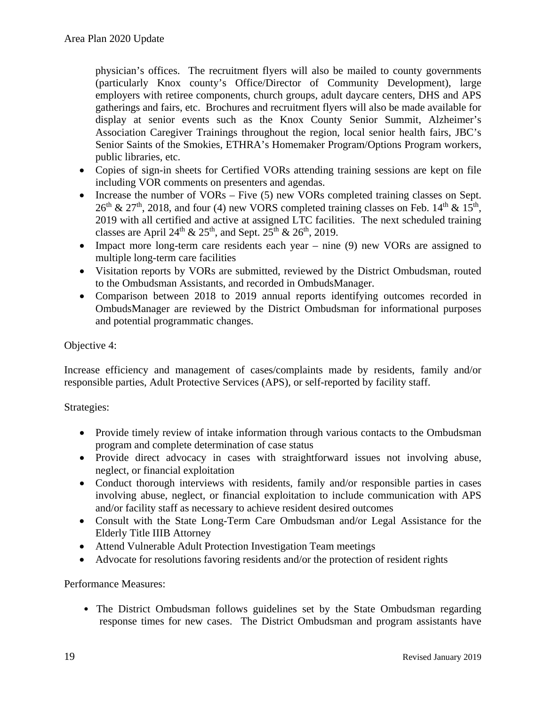physician's offices. The recruitment flyers will also be mailed to county governments (particularly Knox county's Office/Director of Community Development), large employers with retiree components, church groups, adult daycare centers, DHS and APS gatherings and fairs, etc. Brochures and recruitment flyers will also be made available for display at senior events such as the Knox County Senior Summit, Alzheimer's Association Caregiver Trainings throughout the region, local senior health fairs, JBC's Senior Saints of the Smokies, ETHRA's Homemaker Program/Options Program workers, public libraries, etc.

- Copies of sign-in sheets for Certified VORs attending training sessions are kept on file including VOR comments on presenters and agendas.
- Increase the number of VORs Five (5) new VORs completed training classes on Sept.  $26<sup>th</sup>$  &  $27<sup>th</sup>$ , 2018, and four (4) new VORS completed training classes on Feb. 14<sup>th</sup> & 15<sup>th</sup>, 2019 with all certified and active at assigned LTC facilities. The next scheduled training classes are April 24<sup>th</sup> & 25<sup>th</sup>, and Sept. 25<sup>th</sup> & 26<sup>th</sup>, 2019.
- Impact more long-term care residents each year nine (9) new VORs are assigned to multiple long-term care facilities
- Visitation reports by VORs are submitted, reviewed by the District Ombudsman, routed to the Ombudsman Assistants, and recorded in OmbudsManager.
- Comparison between 2018 to 2019 annual reports identifying outcomes recorded in OmbudsManager are reviewed by the District Ombudsman for informational purposes and potential programmatic changes.

#### Objective 4:

Increase efficiency and management of cases/complaints made by residents, family and/or responsible parties, Adult Protective Services (APS), or self-reported by facility staff.

#### Strategies:

- Provide timely review of intake information through various contacts to the Ombudsman program and complete determination of case status
- Provide direct advocacy in cases with straightforward issues not involving abuse, neglect, or financial exploitation
- Conduct thorough interviews with residents, family and/or responsible parties in cases involving abuse, neglect, or financial exploitation to include communication with APS and/or facility staff as necessary to achieve resident desired outcomes
- Consult with the State Long-Term Care Ombudsman and/or Legal Assistance for the Elderly Title IIIB Attorney
- Attend Vulnerable Adult Protection Investigation Team meetings
- Advocate for resolutions favoring residents and/or the protection of resident rights

#### Performance Measures:

• The District Ombudsman follows guidelines set by the State Ombudsman regarding response times for new cases. The District Ombudsman and program assistants have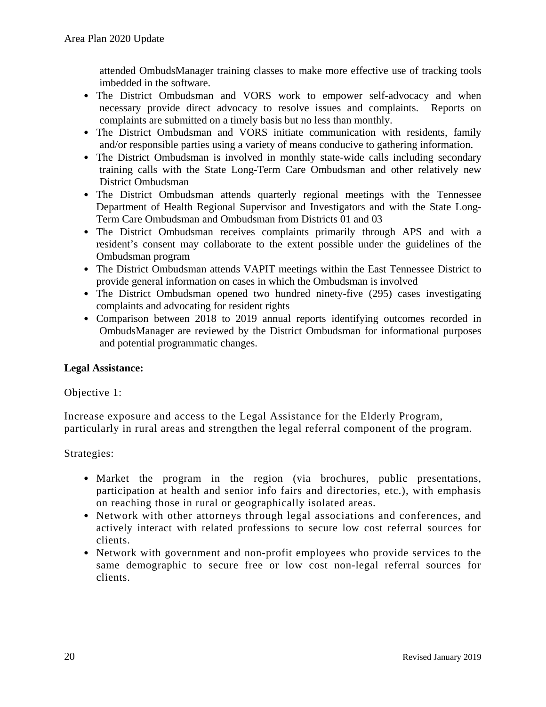attended OmbudsManager training classes to make more effective use of tracking tools imbedded in the software.

- The District Ombudsman and VORS work to empower self-advocacy and when necessary provide direct advocacy to resolve issues and complaints. Reports on complaints are submitted on a timely basis but no less than monthly.
- The District Ombudsman and VORS initiate communication with residents, family and/or responsible parties using a variety of means conducive to gathering information.
- The District Ombudsman is involved in monthly state-wide calls including secondary training calls with the State Long-Term Care Ombudsman and other relatively new District Ombudsman
- The District Ombudsman attends quarterly regional meetings with the Tennessee Department of Health Regional Supervisor and Investigators and with the State Long-Term Care Ombudsman and Ombudsman from Districts 01 and 03
- The District Ombudsman receives complaints primarily through APS and with a resident's consent may collaborate to the extent possible under the guidelines of the Ombudsman program
- The District Ombudsman attends VAPIT meetings within the East Tennessee District to provide general information on cases in which the Ombudsman is involved
- The District Ombudsman opened two hundred ninety-five (295) cases investigating complaints and advocating for resident rights
- Comparison between 2018 to 2019 annual reports identifying outcomes recorded in OmbudsManager are reviewed by the District Ombudsman for informational purposes and potential programmatic changes.

#### **Legal Assistance:**

#### Objective 1:

Increase exposure and access to the Legal Assistance for the Elderly Program, particularly in rural areas and strengthen the legal referral component of the program.

- Market the program in the region (via brochures, public presentations, participation at health and senior info fairs and directories, etc.), with emphasis on reaching those in rural or geographically isolated areas.
- Network with other attorneys through legal associations and conferences, and actively interact with related professions to secure low cost referral sources for clients.
- Network with government and non-profit employees who provide services to the same demographic to secure free or low cost non-legal referral sources for clients.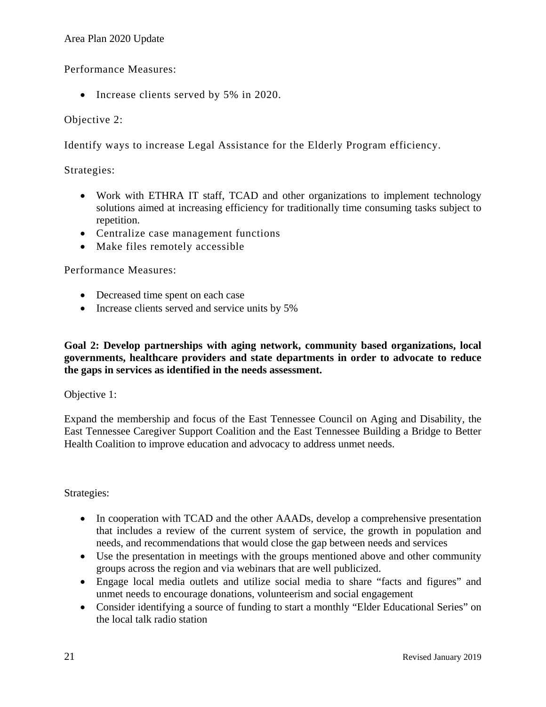#### Area Plan 2020 Update

Performance Measures:

• Increase clients served by 5% in 2020.

#### Objective 2:

Identify ways to increase Legal Assistance for the Elderly Program efficiency.

#### Strategies:

- Work with ETHRA IT staff, TCAD and other organizations to implement technology solutions aimed at increasing efficiency for traditionally time consuming tasks subject to repetition.
- Centralize case management functions
- Make files remotely accessible

Performance Measures:

- Decreased time spent on each case
- Increase clients served and service units by 5%

**Goal 2: Develop partnerships with aging network, community based organizations, local governments, healthcare providers and state departments in order to advocate to reduce the gaps in services as identified in the needs assessment.**

Objective 1:

Expand the membership and focus of the East Tennessee Council on Aging and Disability, the East Tennessee Caregiver Support Coalition and the East Tennessee Building a Bridge to Better Health Coalition to improve education and advocacy to address unmet needs.

- In cooperation with TCAD and the other AAADs, develop a comprehensive presentation that includes a review of the current system of service, the growth in population and needs, and recommendations that would close the gap between needs and services
- Use the presentation in meetings with the groups mentioned above and other community groups across the region and via webinars that are well publicized.
- Engage local media outlets and utilize social media to share "facts and figures" and unmet needs to encourage donations, volunteerism and social engagement
- Consider identifying a source of funding to start a monthly "Elder Educational Series" on the local talk radio station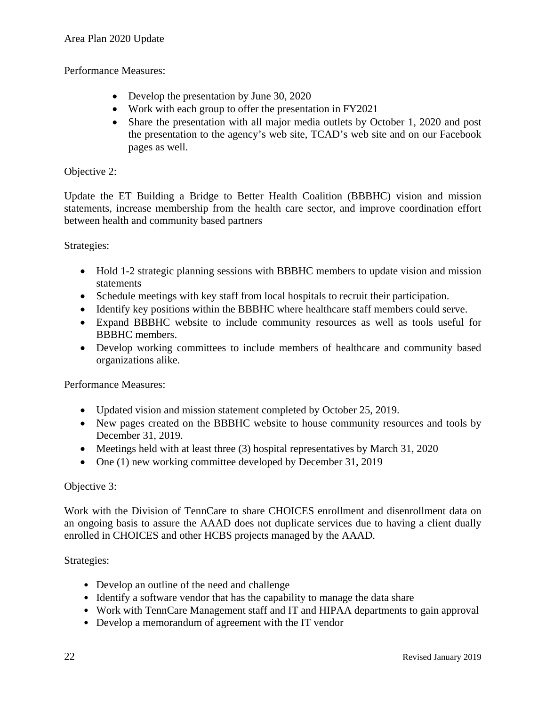#### Performance Measures:

- Develop the presentation by June 30, 2020
- Work with each group to offer the presentation in FY2021
- Share the presentation with all major media outlets by October 1, 2020 and post the presentation to the agency's web site, TCAD's web site and on our Facebook pages as well.

#### Objective 2:

Update the ET Building a Bridge to Better Health Coalition (BBBHC) vision and mission statements, increase membership from the health care sector, and improve coordination effort between health and community based partners

Strategies:

- Hold 1-2 strategic planning sessions with BBBHC members to update vision and mission statements
- Schedule meetings with key staff from local hospitals to recruit their participation.
- Identify key positions within the BBBHC where healthcare staff members could serve.
- Expand BBBHC website to include community resources as well as tools useful for BBBHC members.
- Develop working committees to include members of healthcare and community based organizations alike.

Performance Measures:

- Updated vision and mission statement completed by October 25, 2019.
- New pages created on the BBBHC website to house community resources and tools by December 31, 2019.
- Meetings held with at least three (3) hospital representatives by March 31, 2020
- One (1) new working committee developed by December 31, 2019

#### Objective 3:

Work with the Division of TennCare to share CHOICES enrollment and disenrollment data on an ongoing basis to assure the AAAD does not duplicate services due to having a client dually enrolled in CHOICES and other HCBS projects managed by the AAAD.

- Develop an outline of the need and challenge
- Identify a software vendor that has the capability to manage the data share
- Work with TennCare Management staff and IT and HIPAA departments to gain approval
- Develop a memorandum of agreement with the IT vendor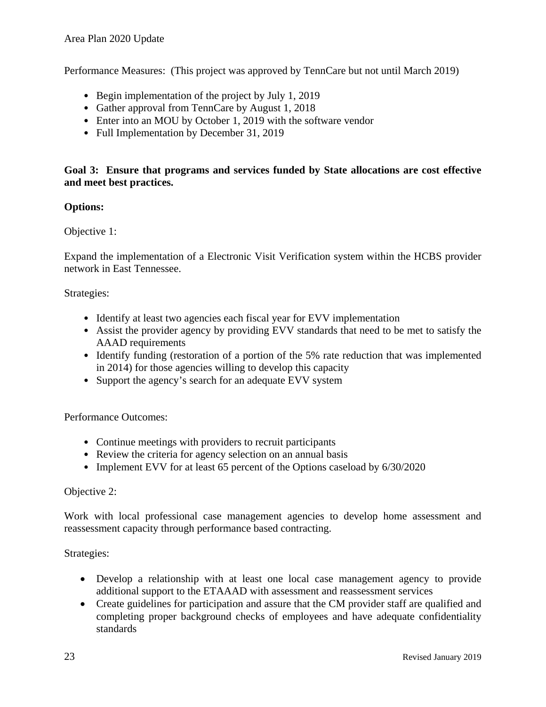Performance Measures: (This project was approved by TennCare but not until March 2019)

- Begin implementation of the project by July 1, 2019
- Gather approval from TennCare by August 1, 2018
- Enter into an MOU by October 1, 2019 with the software vendor
- Full Implementation by December 31, 2019

#### **Goal 3: Ensure that programs and services funded by State allocations are cost effective and meet best practices.**

#### **Options:**

#### Objective 1:

Expand the implementation of a Electronic Visit Verification system within the HCBS provider network in East Tennessee.

#### Strategies:

- Identify at least two agencies each fiscal year for EVV implementation
- Assist the provider agency by providing EVV standards that need to be met to satisfy the AAAD requirements
- Identify funding (restoration of a portion of the 5% rate reduction that was implemented in 2014) for those agencies willing to develop this capacity
- Support the agency's search for an adequate EVV system

#### Performance Outcomes:

- Continue meetings with providers to recruit participants
- Review the criteria for agency selection on an annual basis
- Implement EVV for at least 65 percent of the Options caseload by 6/30/2020

#### Objective 2:

Work with local professional case management agencies to develop home assessment and reassessment capacity through performance based contracting.

- Develop a relationship with at least one local case management agency to provide additional support to the ETAAAD with assessment and reassessment services
- Create guidelines for participation and assure that the CM provider staff are qualified and completing proper background checks of employees and have adequate confidentiality standards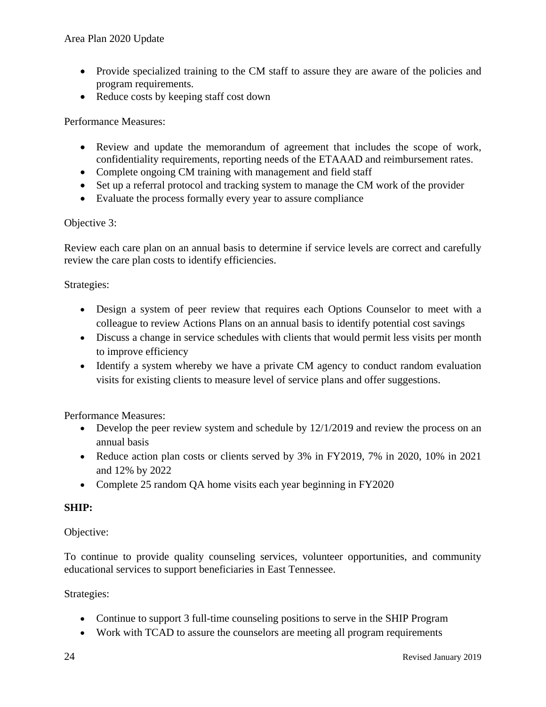- Provide specialized training to the CM staff to assure they are aware of the policies and program requirements.
- Reduce costs by keeping staff cost down

#### Performance Measures:

- Review and update the memorandum of agreement that includes the scope of work, confidentiality requirements, reporting needs of the ETAAAD and reimbursement rates.
- Complete ongoing CM training with management and field staff
- Set up a referral protocol and tracking system to manage the CM work of the provider
- Evaluate the process formally every year to assure compliance

#### Objective 3:

Review each care plan on an annual basis to determine if service levels are correct and carefully review the care plan costs to identify efficiencies.

#### Strategies:

- Design a system of peer review that requires each Options Counselor to meet with a colleague to review Actions Plans on an annual basis to identify potential cost savings
- Discuss a change in service schedules with clients that would permit less visits per month to improve efficiency
- Identify a system whereby we have a private CM agency to conduct random evaluation visits for existing clients to measure level of service plans and offer suggestions.

Performance Measures:

- Develop the peer review system and schedule by 12/1/2019 and review the process on an annual basis
- Reduce action plan costs or clients served by 3% in FY2019, 7% in 2020, 10% in 2021 and 12% by 2022
- Complete 25 random QA home visits each year beginning in FY2020

#### **SHIP:**

#### Objective:

To continue to provide quality counseling services, volunteer opportunities, and community educational services to support beneficiaries in East Tennessee.

- Continue to support 3 full-time counseling positions to serve in the SHIP Program
- Work with TCAD to assure the counselors are meeting all program requirements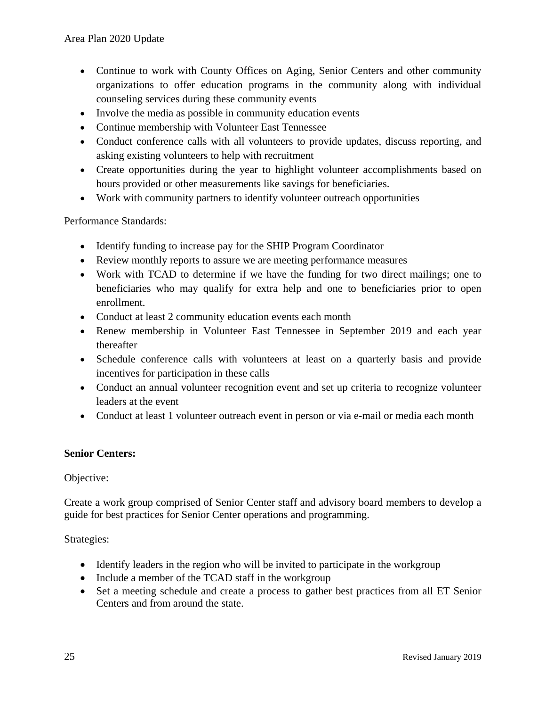- Continue to work with County Offices on Aging, Senior Centers and other community organizations to offer education programs in the community along with individual counseling services during these community events
- Involve the media as possible in community education events
- Continue membership with Volunteer East Tennessee
- Conduct conference calls with all volunteers to provide updates, discuss reporting, and asking existing volunteers to help with recruitment
- Create opportunities during the year to highlight volunteer accomplishments based on hours provided or other measurements like savings for beneficiaries.
- Work with community partners to identify volunteer outreach opportunities

Performance Standards:

- Identify funding to increase pay for the SHIP Program Coordinator
- Review monthly reports to assure we are meeting performance measures
- Work with TCAD to determine if we have the funding for two direct mailings; one to beneficiaries who may qualify for extra help and one to beneficiaries prior to open enrollment.
- Conduct at least 2 community education events each month
- Renew membership in Volunteer East Tennessee in September 2019 and each year thereafter
- Schedule conference calls with volunteers at least on a quarterly basis and provide incentives for participation in these calls
- Conduct an annual volunteer recognition event and set up criteria to recognize volunteer leaders at the event
- Conduct at least 1 volunteer outreach event in person or via e-mail or media each month

#### **Senior Centers:**

#### Objective:

Create a work group comprised of Senior Center staff and advisory board members to develop a guide for best practices for Senior Center operations and programming.

- Identify leaders in the region who will be invited to participate in the workgroup
- Include a member of the TCAD staff in the workgroup
- Set a meeting schedule and create a process to gather best practices from all ET Senior Centers and from around the state.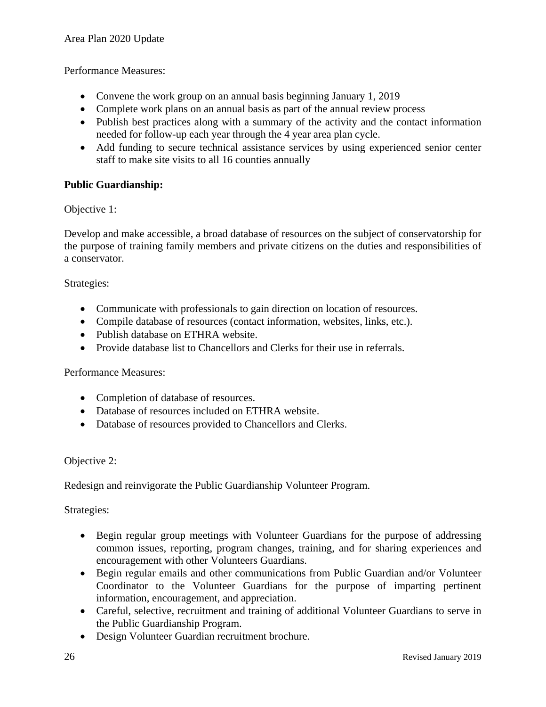Performance Measures:

- Convene the work group on an annual basis beginning January 1, 2019
- Complete work plans on an annual basis as part of the annual review process
- Publish best practices along with a summary of the activity and the contact information needed for follow-up each year through the 4 year area plan cycle.
- Add funding to secure technical assistance services by using experienced senior center staff to make site visits to all 16 counties annually

#### **Public Guardianship:**

Objective 1:

Develop and make accessible, a broad database of resources on the subject of conservatorship for the purpose of training family members and private citizens on the duties and responsibilities of a conservator.

Strategies:

- Communicate with professionals to gain direction on location of resources.
- Compile database of resources (contact information, websites, links, etc.).
- Publish database on ETHRA website.
- Provide database list to Chancellors and Clerks for their use in referrals.

Performance Measures:

- Completion of database of resources.
- Database of resources included on ETHRA website.
- Database of resources provided to Chancellors and Clerks.

#### Objective 2:

Redesign and reinvigorate the Public Guardianship Volunteer Program.

- Begin regular group meetings with Volunteer Guardians for the purpose of addressing common issues, reporting, program changes, training, and for sharing experiences and encouragement with other Volunteers Guardians.
- Begin regular emails and other communications from Public Guardian and/or Volunteer Coordinator to the Volunteer Guardians for the purpose of imparting pertinent information, encouragement, and appreciation.
- Careful, selective, recruitment and training of additional Volunteer Guardians to serve in the Public Guardianship Program.
- Design Volunteer Guardian recruitment brochure.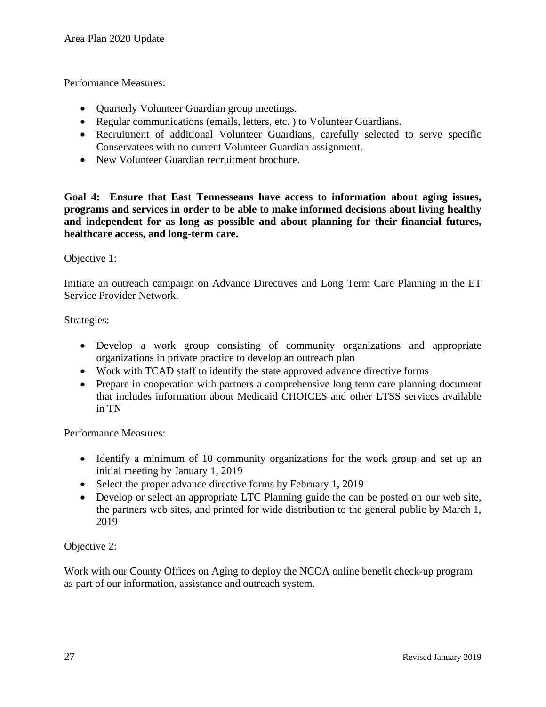Performance Measures:

- Quarterly Volunteer Guardian group meetings.
- Regular communications (emails, letters, etc.) to Volunteer Guardians.
- Recruitment of additional Volunteer Guardians, carefully selected to serve specific Conservatees with no current Volunteer Guardian assignment.
- New Volunteer Guardian recruitment brochure.

**Goal 4: Ensure that East Tennesseans have access to information about aging issues, programs and services in order to be able to make informed decisions about living healthy and independent for as long as possible and about planning for their financial futures, healthcare access, and long-term care.**

#### Objective 1:

Initiate an outreach campaign on Advance Directives and Long Term Care Planning in the ET Service Provider Network.

Strategies:

- Develop a work group consisting of community organizations and appropriate organizations in private practice to develop an outreach plan
- Work with TCAD staff to identify the state approved advance directive forms
- Prepare in cooperation with partners a comprehensive long term care planning document that includes information about Medicaid CHOICES and other LTSS services available in TN

Performance Measures:

- Identify a minimum of 10 community organizations for the work group and set up an initial meeting by January 1, 2019
- Select the proper advance directive forms by February 1, 2019
- Develop or select an appropriate LTC Planning guide the can be posted on our web site. the partners web sites, and printed for wide distribution to the general public by March 1, 2019

Objective 2:

Work with our County Offices on Aging to deploy the NCOA online benefit check-up program as part of our information, assistance and outreach system.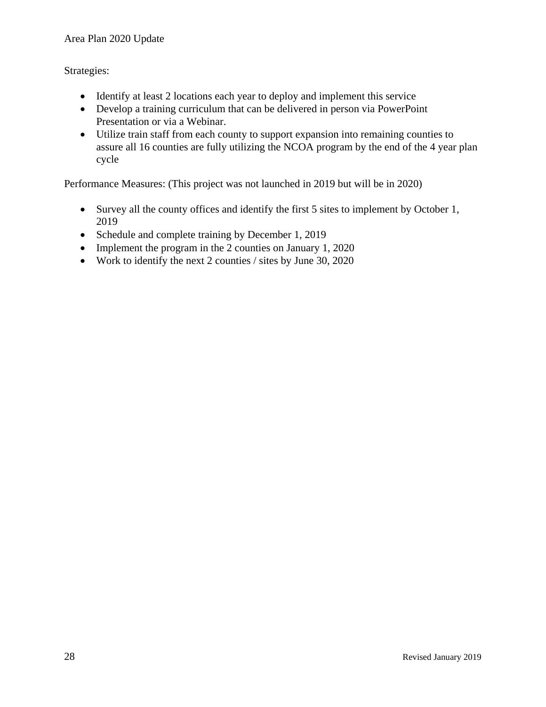#### Area Plan 2020 Update

Strategies:

- Identify at least 2 locations each year to deploy and implement this service
- Develop a training curriculum that can be delivered in person via PowerPoint Presentation or via a Webinar.
- Utilize train staff from each county to support expansion into remaining counties to assure all 16 counties are fully utilizing the NCOA program by the end of the 4 year plan cycle

Performance Measures: (This project was not launched in 2019 but will be in 2020)

- Survey all the county offices and identify the first 5 sites to implement by October 1, 2019
- Schedule and complete training by December 1, 2019
- Implement the program in the 2 counties on January 1, 2020
- Work to identify the next 2 counties / sites by June 30, 2020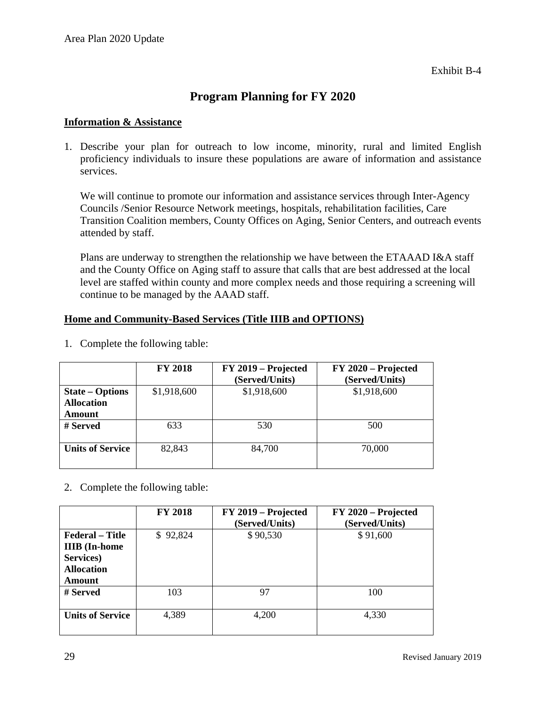#### **Program Planning for FY 2020**

#### **Information & Assistance**

1. Describe your plan for outreach to low income, minority, rural and limited English proficiency individuals to insure these populations are aware of information and assistance services.

We will continue to promote our information and assistance services through Inter-Agency Councils /Senior Resource Network meetings, hospitals, rehabilitation facilities, Care Transition Coalition members, County Offices on Aging, Senior Centers, and outreach events attended by staff.

Plans are underway to strengthen the relationship we have between the ETAAAD I&A staff and the County Office on Aging staff to assure that calls that are best addressed at the local level are staffed within county and more complex needs and those requiring a screening will continue to be managed by the AAAD staff.

#### **Home and Community-Based Services (Title IIIB and OPTIONS)**

|                         | <b>FY 2018</b> | FY 2019 – Projected<br>(Served/Units) | FY 2020 – Projected<br>(Served/Units) |
|-------------------------|----------------|---------------------------------------|---------------------------------------|
| <b>State – Options</b>  | \$1,918,600    | \$1,918,600                           | \$1,918,600                           |
| <b>Allocation</b>       |                |                                       |                                       |
| <b>Amount</b>           |                |                                       |                                       |
| # Served                | 633            | 530                                   | 500                                   |
|                         |                |                                       |                                       |
| <b>Units of Service</b> | 82,843         | 84,700                                | 70,000                                |
|                         |                |                                       |                                       |

1. Complete the following table:

2. Complete the following table:

|                                                                                                   | <b>FY 2018</b> | FY 2019 – Projected<br>(Served/Units) | FY 2020 – Projected<br>(Served/Units) |
|---------------------------------------------------------------------------------------------------|----------------|---------------------------------------|---------------------------------------|
| <b>Federal</b> – Title<br><b>IIIB</b> (In-home<br>Services)<br><b>Allocation</b><br><b>Amount</b> | \$92,824       | \$90,530                              | \$91,600                              |
| # Served                                                                                          | 103            | 97                                    | 100                                   |
| <b>Units of Service</b>                                                                           | 4,389          | 4,200                                 | 4,330                                 |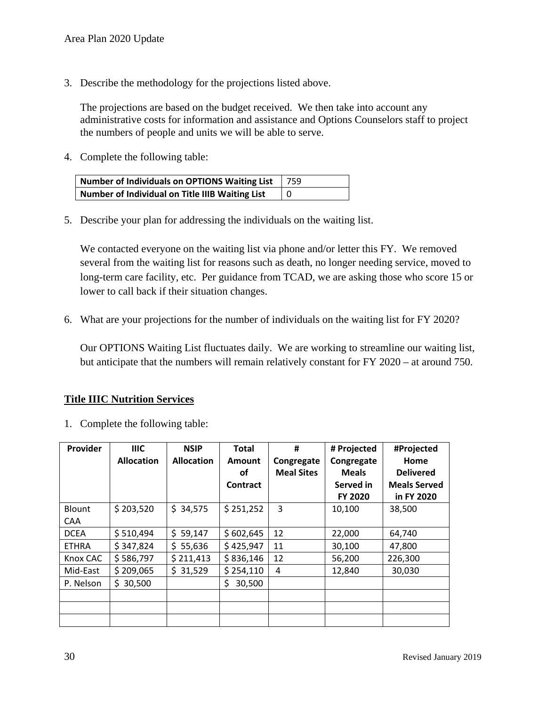3. Describe the methodology for the projections listed above.

The projections are based on the budget received. We then take into account any administrative costs for information and assistance and Options Counselors staff to project the numbers of people and units we will be able to serve.

4. Complete the following table:

| Number of Individuals on OPTIONS Waiting List   | 759       |
|-------------------------------------------------|-----------|
| Number of Individual on Title IIIB Waiting List | $\vert 0$ |

5. Describe your plan for addressing the individuals on the waiting list.

We contacted everyone on the waiting list via phone and/or letter this FY. We removed several from the waiting list for reasons such as death, no longer needing service, moved to long-term care facility, etc. Per guidance from TCAD, we are asking those who score 15 or lower to call back if their situation changes.

6. What are your projections for the number of individuals on the waiting list for FY 2020?

Our OPTIONS Waiting List fluctuates daily. We are working to streamline our waiting list, but anticipate that the numbers will remain relatively constant for FY 2020 – at around 750.

#### **Title IIIC Nutrition Services**

1. Complete the following table:

| Provider      | <b>IIIC</b>       | <b>NSIP</b>       | <b>Total</b>  | #                 | # Projected  | #Projected          |
|---------------|-------------------|-------------------|---------------|-------------------|--------------|---------------------|
|               | <b>Allocation</b> | <b>Allocation</b> | Amount        | Congregate        | Congregate   | Home                |
|               |                   |                   | οf            | <b>Meal Sites</b> | <b>Meals</b> | <b>Delivered</b>    |
|               |                   |                   | Contract      |                   | Served in    | <b>Meals Served</b> |
|               |                   |                   |               |                   | FY 2020      | in FY 2020          |
| <b>Blount</b> | \$203,520         | \$34,575          | \$251,252     | 3                 | 10,100       | 38,500              |
| <b>CAA</b>    |                   |                   |               |                   |              |                     |
| <b>DCEA</b>   | \$510,494         | \$59,147          | \$602,645     | 12                | 22,000       | 64,740              |
| <b>ETHRA</b>  | \$347,824         | \$5,636           | \$425,947     | 11                | 30,100       | 47,800              |
| Knox CAC      | \$586,797         | \$211,413         | \$836,146     | 12                | 56,200       | 226,300             |
| Mid-East      | \$209,065         | \$31,529          | \$254,110     | 4                 | 12,840       | 30,030              |
| P. Nelson     | \$30,500          |                   | \$.<br>30,500 |                   |              |                     |
|               |                   |                   |               |                   |              |                     |
|               |                   |                   |               |                   |              |                     |
|               |                   |                   |               |                   |              |                     |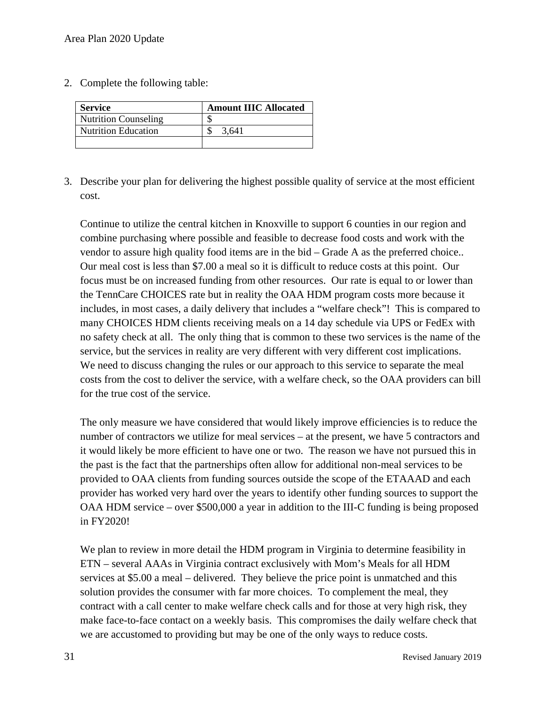2. Complete the following table:

| <b>Service</b>              | <b>Amount IIIC Allocated</b> |
|-----------------------------|------------------------------|
| <b>Nutrition Counseling</b> |                              |
| <b>Nutrition Education</b>  | 3.641                        |
|                             |                              |

3. Describe your plan for delivering the highest possible quality of service at the most efficient cost.

Continue to utilize the central kitchen in Knoxville to support 6 counties in our region and combine purchasing where possible and feasible to decrease food costs and work with the vendor to assure high quality food items are in the bid – Grade A as the preferred choice.. Our meal cost is less than \$7.00 a meal so it is difficult to reduce costs at this point. Our focus must be on increased funding from other resources. Our rate is equal to or lower than the TennCare CHOICES rate but in reality the OAA HDM program costs more because it includes, in most cases, a daily delivery that includes a "welfare check"! This is compared to many CHOICES HDM clients receiving meals on a 14 day schedule via UPS or FedEx with no safety check at all. The only thing that is common to these two services is the name of the service, but the services in reality are very different with very different cost implications. We need to discuss changing the rules or our approach to this service to separate the meal costs from the cost to deliver the service, with a welfare check, so the OAA providers can bill for the true cost of the service.

The only measure we have considered that would likely improve efficiencies is to reduce the number of contractors we utilize for meal services – at the present, we have 5 contractors and it would likely be more efficient to have one or two. The reason we have not pursued this in the past is the fact that the partnerships often allow for additional non-meal services to be provided to OAA clients from funding sources outside the scope of the ETAAAD and each provider has worked very hard over the years to identify other funding sources to support the OAA HDM service – over \$500,000 a year in addition to the III-C funding is being proposed in FY2020!

We plan to review in more detail the HDM program in Virginia to determine feasibility in ETN – several AAAs in Virginia contract exclusively with Mom's Meals for all HDM services at \$5.00 a meal – delivered. They believe the price point is unmatched and this solution provides the consumer with far more choices. To complement the meal, they contract with a call center to make welfare check calls and for those at very high risk, they make face-to-face contact on a weekly basis. This compromises the daily welfare check that we are accustomed to providing but may be one of the only ways to reduce costs.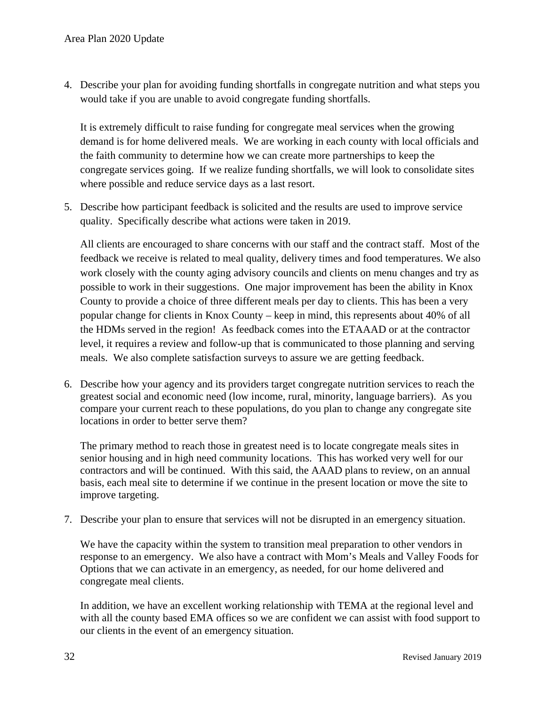4. Describe your plan for avoiding funding shortfalls in congregate nutrition and what steps you would take if you are unable to avoid congregate funding shortfalls.

It is extremely difficult to raise funding for congregate meal services when the growing demand is for home delivered meals. We are working in each county with local officials and the faith community to determine how we can create more partnerships to keep the congregate services going. If we realize funding shortfalls, we will look to consolidate sites where possible and reduce service days as a last resort.

5. Describe how participant feedback is solicited and the results are used to improve service quality. Specifically describe what actions were taken in 2019.

All clients are encouraged to share concerns with our staff and the contract staff. Most of the feedback we receive is related to meal quality, delivery times and food temperatures. We also work closely with the county aging advisory councils and clients on menu changes and try as possible to work in their suggestions. One major improvement has been the ability in Knox County to provide a choice of three different meals per day to clients. This has been a very popular change for clients in Knox County – keep in mind, this represents about 40% of all the HDMs served in the region! As feedback comes into the ETAAAD or at the contractor level, it requires a review and follow-up that is communicated to those planning and serving meals. We also complete satisfaction surveys to assure we are getting feedback.

6. Describe how your agency and its providers target congregate nutrition services to reach the greatest social and economic need (low income, rural, minority, language barriers). As you compare your current reach to these populations, do you plan to change any congregate site locations in order to better serve them?

The primary method to reach those in greatest need is to locate congregate meals sites in senior housing and in high need community locations. This has worked very well for our contractors and will be continued. With this said, the AAAD plans to review, on an annual basis, each meal site to determine if we continue in the present location or move the site to improve targeting.

7. Describe your plan to ensure that services will not be disrupted in an emergency situation.

We have the capacity within the system to transition meal preparation to other vendors in response to an emergency. We also have a contract with Mom's Meals and Valley Foods for Options that we can activate in an emergency, as needed, for our home delivered and congregate meal clients.

In addition, we have an excellent working relationship with TEMA at the regional level and with all the county based EMA offices so we are confident we can assist with food support to our clients in the event of an emergency situation.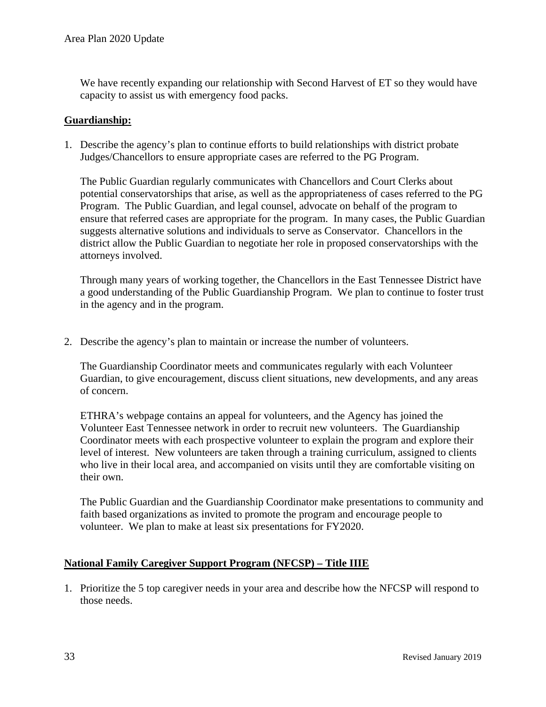We have recently expanding our relationship with Second Harvest of ET so they would have capacity to assist us with emergency food packs.

#### **Guardianship:**

1. Describe the agency's plan to continue efforts to build relationships with district probate Judges/Chancellors to ensure appropriate cases are referred to the PG Program.

The Public Guardian regularly communicates with Chancellors and Court Clerks about potential conservatorships that arise, as well as the appropriateness of cases referred to the PG Program. The Public Guardian, and legal counsel, advocate on behalf of the program to ensure that referred cases are appropriate for the program. In many cases, the Public Guardian suggests alternative solutions and individuals to serve as Conservator. Chancellors in the district allow the Public Guardian to negotiate her role in proposed conservatorships with the attorneys involved.

Through many years of working together, the Chancellors in the East Tennessee District have a good understanding of the Public Guardianship Program. We plan to continue to foster trust in the agency and in the program.

2. Describe the agency's plan to maintain or increase the number of volunteers.

The Guardianship Coordinator meets and communicates regularly with each Volunteer Guardian, to give encouragement, discuss client situations, new developments, and any areas of concern.

ETHRA's webpage contains an appeal for volunteers, and the Agency has joined the Volunteer East Tennessee network in order to recruit new volunteers. The Guardianship Coordinator meets with each prospective volunteer to explain the program and explore their level of interest. New volunteers are taken through a training curriculum, assigned to clients who live in their local area, and accompanied on visits until they are comfortable visiting on their own.

The Public Guardian and the Guardianship Coordinator make presentations to community and faith based organizations as invited to promote the program and encourage people to volunteer. We plan to make at least six presentations for FY2020.

#### **National Family Caregiver Support Program (NFCSP) – Title IIIE**

1. Prioritize the 5 top caregiver needs in your area and describe how the NFCSP will respond to those needs.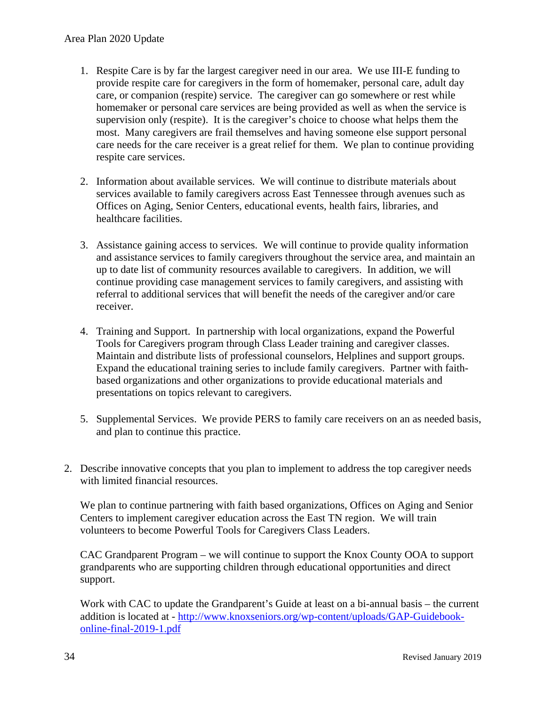- 1. Respite Care is by far the largest caregiver need in our area. We use III-E funding to provide respite care for caregivers in the form of homemaker, personal care, adult day care, or companion (respite) service. The caregiver can go somewhere or rest while homemaker or personal care services are being provided as well as when the service is supervision only (respite). It is the caregiver's choice to choose what helps them the most. Many caregivers are frail themselves and having someone else support personal care needs for the care receiver is a great relief for them. We plan to continue providing respite care services.
- 2. Information about available services. We will continue to distribute materials about services available to family caregivers across East Tennessee through avenues such as Offices on Aging, Senior Centers, educational events, health fairs, libraries, and healthcare facilities.
- 3. Assistance gaining access to services. We will continue to provide quality information and assistance services to family caregivers throughout the service area, and maintain an up to date list of community resources available to caregivers. In addition, we will continue providing case management services to family caregivers, and assisting with referral to additional services that will benefit the needs of the caregiver and/or care receiver.
- 4. Training and Support. In partnership with local organizations, expand the Powerful Tools for Caregivers program through Class Leader training and caregiver classes. Maintain and distribute lists of professional counselors, Helplines and support groups. Expand the educational training series to include family caregivers. Partner with faithbased organizations and other organizations to provide educational materials and presentations on topics relevant to caregivers.
- 5. Supplemental Services. We provide PERS to family care receivers on an as needed basis, and plan to continue this practice.
- 2. Describe innovative concepts that you plan to implement to address the top caregiver needs with limited financial resources.

We plan to continue partnering with faith based organizations, Offices on Aging and Senior Centers to implement caregiver education across the East TN region. We will train volunteers to become Powerful Tools for Caregivers Class Leaders.

CAC Grandparent Program – we will continue to support the Knox County OOA to support grandparents who are supporting children through educational opportunities and direct support.

Work with CAC to update the Grandparent's Guide at least on a bi-annual basis – the current addition is located at - [http://www.knoxseniors.org/wp-content/uploads/GAP-Guidebook](http://www.knoxseniors.org/wp-content/uploads/GAP-Guidebook-online-final-2019-1.pdf)[online-final-2019-1.pdf](http://www.knoxseniors.org/wp-content/uploads/GAP-Guidebook-online-final-2019-1.pdf)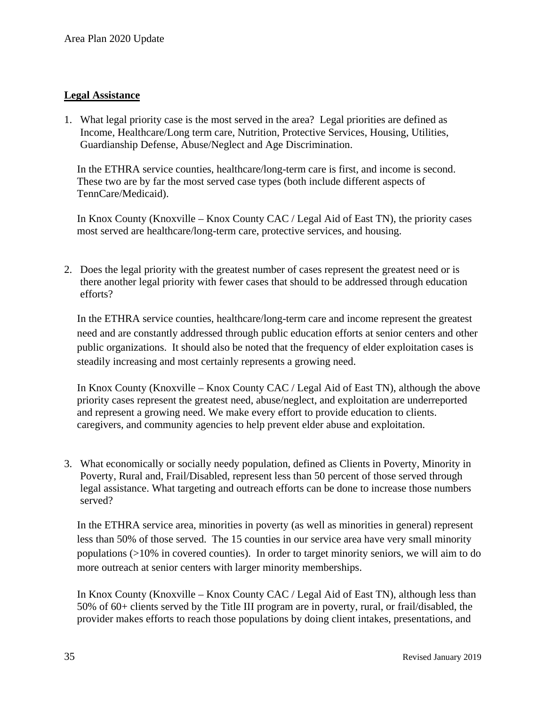#### **Legal Assistance**

1. What legal priority case is the most served in the area? Legal priorities are defined as Income, Healthcare/Long term care, Nutrition, Protective Services, Housing, Utilities, Guardianship Defense, Abuse/Neglect and Age Discrimination.

In the ETHRA service counties, healthcare/long-term care is first, and income is second. These two are by far the most served case types (both include different aspects of TennCare/Medicaid).

In Knox County (Knoxville – Knox County CAC / Legal Aid of East TN), the priority cases most served are healthcare/long-term care, protective services, and housing.

2. Does the legal priority with the greatest number of cases represent the greatest need or is there another legal priority with fewer cases that should to be addressed through education efforts?

In the ETHRA service counties, healthcare/long-term care and income represent the greatest need and are constantly addressed through public education efforts at senior centers and other public organizations. It should also be noted that the frequency of elder exploitation cases is steadily increasing and most certainly represents a growing need.

In Knox County (Knoxville – Knox County CAC / Legal Aid of East TN), although the above priority cases represent the greatest need, abuse/neglect, and exploitation are underreported and represent a growing need. We make every effort to provide education to clients. caregivers, and community agencies to help prevent elder abuse and exploitation.

3. What economically or socially needy population, defined as Clients in Poverty, Minority in Poverty, Rural and, Frail/Disabled, represent less than 50 percent of those served through legal assistance. What targeting and outreach efforts can be done to increase those numbers served?

In the ETHRA service area, minorities in poverty (as well as minorities in general) represent less than 50% of those served. The 15 counties in our service area have very small minority populations (>10% in covered counties). In order to target minority seniors, we will aim to do more outreach at senior centers with larger minority memberships.

In Knox County (Knoxville – Knox County CAC / Legal Aid of East TN), although less than 50% of 60+ clients served by the Title III program are in poverty, rural, or frail/disabled, the provider makes efforts to reach those populations by doing client intakes, presentations, and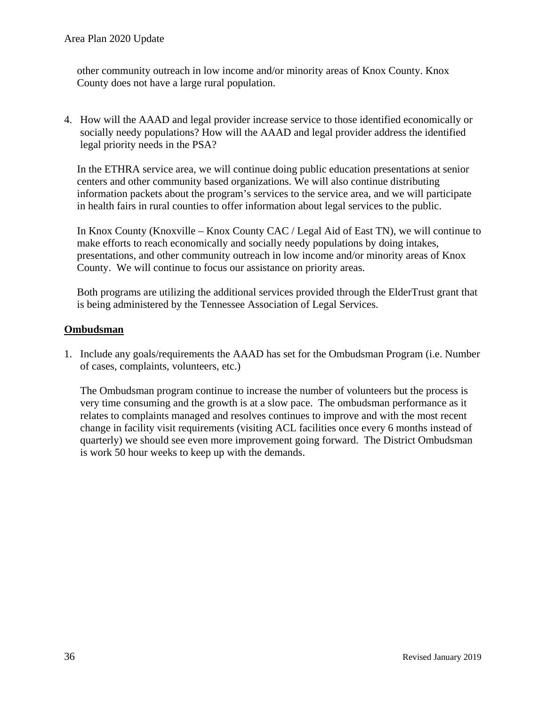other community outreach in low income and/or minority areas of Knox County. Knox County does not have a large rural population.

4. How will the AAAD and legal provider increase service to those identified economically or socially needy populations? How will the AAAD and legal provider address the identified legal priority needs in the PSA?

In the ETHRA service area, we will continue doing public education presentations at senior centers and other community based organizations. We will also continue distributing information packets about the program's services to the service area, and we will participate in health fairs in rural counties to offer information about legal services to the public.

In Knox County (Knoxville – Knox County CAC / Legal Aid of East TN), we will continue to make efforts to reach economically and socially needy populations by doing intakes, presentations, and other community outreach in low income and/or minority areas of Knox County. We will continue to focus our assistance on priority areas.

Both programs are utilizing the additional services provided through the ElderTrust grant that is being administered by the Tennessee Association of Legal Services.

#### **Ombudsman**

1. Include any goals/requirements the AAAD has set for the Ombudsman Program (i.e. Number of cases, complaints, volunteers, etc.)

The Ombudsman program continue to increase the number of volunteers but the process is very time consuming and the growth is at a slow pace. The ombudsman performance as it relates to complaints managed and resolves continues to improve and with the most recent change in facility visit requirements (visiting ACL facilities once every 6 months instead of quarterly) we should see even more improvement going forward. The District Ombudsman is work 50 hour weeks to keep up with the demands.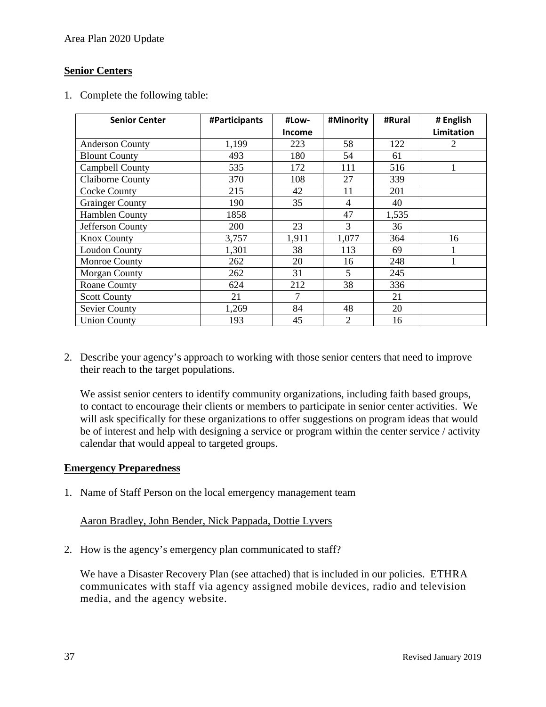Area Plan 2020 Update

#### **Senior Centers**

1. Complete the following table:

| <b>Senior Center</b>    | #Participants | #Low-         | #Minority      | #Rural | # English         |
|-------------------------|---------------|---------------|----------------|--------|-------------------|
|                         |               | <b>Income</b> |                |        | <b>Limitation</b> |
| <b>Anderson County</b>  | 1,199         | 223           | 58             | 122    | $\overline{2}$    |
| <b>Blount County</b>    | 493           | 180           | 54             | 61     |                   |
| Campbell County         | 535           | 172           | 111            | 516    |                   |
| <b>Claiborne County</b> | 370           | 108           | 27             | 339    |                   |
| <b>Cocke County</b>     | 215           | 42            | 11             | 201    |                   |
| <b>Grainger County</b>  | 190           | 35            | 4              | 40     |                   |
| Hamblen County          | 1858          |               | 47             | 1,535  |                   |
| Jefferson County        | 200           | 23            | 3              | 36     |                   |
| <b>Knox County</b>      | 3,757         | 1,911         | 1,077          | 364    | 16                |
| <b>Loudon County</b>    | 1,301         | 38            | 113            | 69     |                   |
| Monroe County           | 262           | 20            | 16             | 248    |                   |
| <b>Morgan County</b>    | 262           | 31            | 5              | 245    |                   |
| Roane County            | 624           | 212           | 38             | 336    |                   |
| <b>Scott County</b>     | 21            | 7             |                | 21     |                   |
| <b>Sevier County</b>    | 1,269         | 84            | 48             | 20     |                   |
| <b>Union County</b>     | 193           | 45            | $\overline{2}$ | 16     |                   |

2. Describe your agency's approach to working with those senior centers that need to improve their reach to the target populations.

We assist senior centers to identify community organizations, including faith based groups, to contact to encourage their clients or members to participate in senior center activities. We will ask specifically for these organizations to offer suggestions on program ideas that would be of interest and help with designing a service or program within the center service / activity calendar that would appeal to targeted groups.

#### **Emergency Preparedness**

1. Name of Staff Person on the local emergency management team

#### Aaron Bradley, John Bender, Nick Pappada, Dottie Lyvers

2. How is the agency's emergency plan communicated to staff?

We have a Disaster Recovery Plan (see attached) that is included in our policies. ETHRA communicates with staff via agency assigned mobile devices, radio and television media, and the agency website.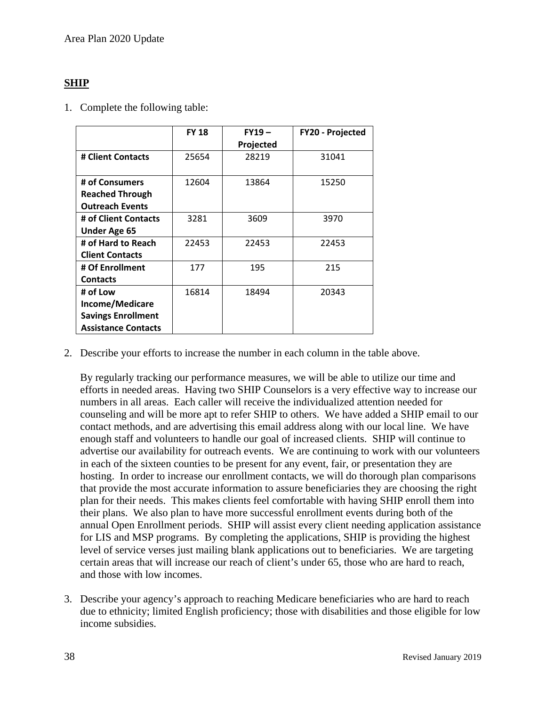#### **SHIP**

1. Complete the following table:

|                            | <b>FY 18</b> | $FY19-$   | FY20 - Projected |
|----------------------------|--------------|-----------|------------------|
|                            |              | Projected |                  |
| # Client Contacts          | 25654        | 28219     | 31041            |
|                            |              |           |                  |
| # of Consumers             | 12604        | 13864     | 15250            |
| <b>Reached Through</b>     |              |           |                  |
| <b>Outreach Events</b>     |              |           |                  |
| # of Client Contacts       | 3281         | 3609      | 3970             |
| <b>Under Age 65</b>        |              |           |                  |
| # of Hard to Reach         | 22453        | 22453     | 22453            |
| <b>Client Contacts</b>     |              |           |                  |
| # Of Enrollment            | 177          | 195       | 215              |
| <b>Contacts</b>            |              |           |                  |
| # of Low                   | 16814        | 18494     | 20343            |
| Income/Medicare            |              |           |                  |
| <b>Savings Enrollment</b>  |              |           |                  |
| <b>Assistance Contacts</b> |              |           |                  |

2. Describe your efforts to increase the number in each column in the table above.

By regularly tracking our performance measures, we will be able to utilize our time and efforts in needed areas. Having two SHIP Counselors is a very effective way to increase our numbers in all areas. Each caller will receive the individualized attention needed for counseling and will be more apt to refer SHIP to others. We have added a SHIP email to our contact methods, and are advertising this email address along with our local line. We have enough staff and volunteers to handle our goal of increased clients. SHIP will continue to advertise our availability for outreach events. We are continuing to work with our volunteers in each of the sixteen counties to be present for any event, fair, or presentation they are hosting. In order to increase our enrollment contacts, we will do thorough plan comparisons that provide the most accurate information to assure beneficiaries they are choosing the right plan for their needs. This makes clients feel comfortable with having SHIP enroll them into their plans. We also plan to have more successful enrollment events during both of the annual Open Enrollment periods. SHIP will assist every client needing application assistance for LIS and MSP programs. By completing the applications, SHIP is providing the highest level of service verses just mailing blank applications out to beneficiaries. We are targeting certain areas that will increase our reach of client's under 65, those who are hard to reach, and those with low incomes.

3. Describe your agency's approach to reaching Medicare beneficiaries who are hard to reach due to ethnicity; limited English proficiency; those with disabilities and those eligible for low income subsidies.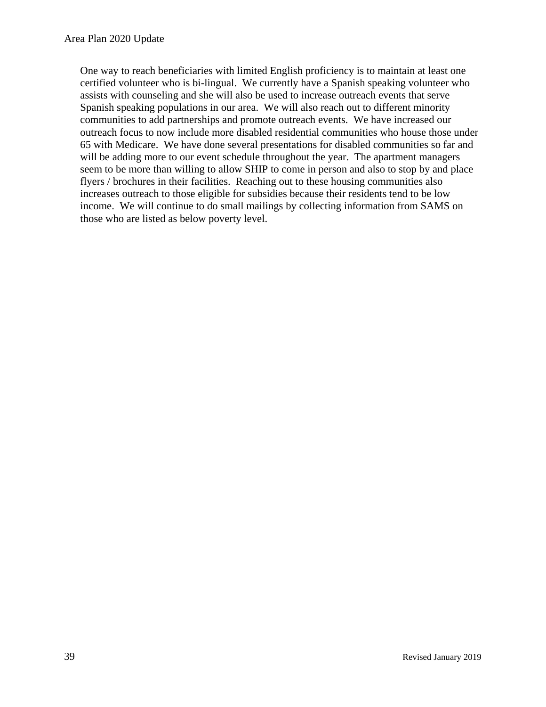One way to reach beneficiaries with limited English proficiency is to maintain at least one certified volunteer who is bi-lingual. We currently have a Spanish speaking volunteer who assists with counseling and she will also be used to increase outreach events that serve Spanish speaking populations in our area. We will also reach out to different minority communities to add partnerships and promote outreach events. We have increased our outreach focus to now include more disabled residential communities who house those under 65 with Medicare. We have done several presentations for disabled communities so far and will be adding more to our event schedule throughout the year. The apartment managers seem to be more than willing to allow SHIP to come in person and also to stop by and place flyers / brochures in their facilities. Reaching out to these housing communities also increases outreach to those eligible for subsidies because their residents tend to be low income. We will continue to do small mailings by collecting information from SAMS on those who are listed as below poverty level.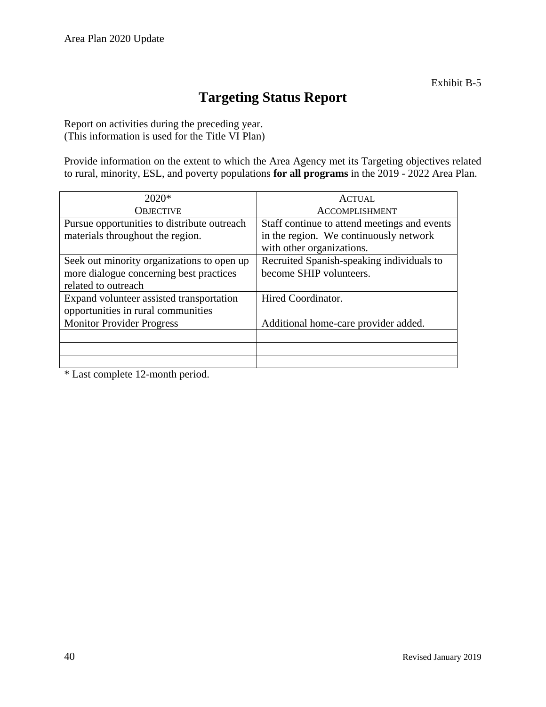### **Targeting Status Report**

Report on activities during the preceding year. (This information is used for the Title VI Plan)

Provide information on the extent to which the Area Agency met its Targeting objectives related to rural, minority, ESL, and poverty populations **for all programs** in the 2019 - 2022 Area Plan.

| $2020*$                                     | <b>ACTUAL</b>                                |
|---------------------------------------------|----------------------------------------------|
| <b>OBJECTIVE</b>                            | <b>ACCOMPLISHMENT</b>                        |
| Pursue opportunities to distribute outreach | Staff continue to attend meetings and events |
| materials throughout the region.            | in the region. We continuously network       |
|                                             | with other organizations.                    |
| Seek out minority organizations to open up  | Recruited Spanish-speaking individuals to    |
| more dialogue concerning best practices     | become SHIP volunteers.                      |
| related to outreach                         |                                              |
| Expand volunteer assisted transportation    | Hired Coordinator.                           |
| opportunities in rural communities          |                                              |
| <b>Monitor Provider Progress</b>            | Additional home-care provider added.         |
|                                             |                                              |
|                                             |                                              |
|                                             |                                              |

\* Last complete 12-month period.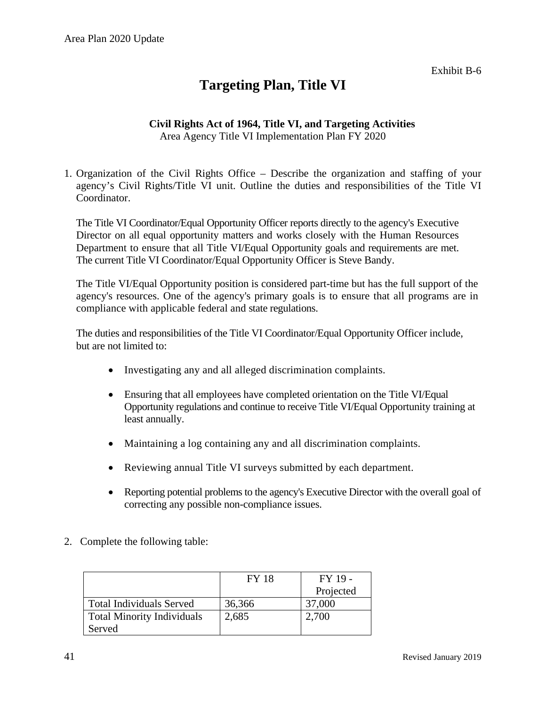### **Targeting Plan, Title VI**

#### **Civil Rights Act of 1964, Title VI, and Targeting Activities** Area Agency Title VI Implementation Plan FY 2020

1. Organization of the Civil Rights Office – Describe the organization and staffing of your agency's Civil Rights/Title VI unit. Outline the duties and responsibilities of the Title VI Coordinator.

The Title VI Coordinator/Equal Opportunity Officer reports directly to the agency's Executive Director on all equal opportunity matters and works closely with the Human Resources Department to ensure that all Title VI/Equal Opportunity goals and requirements are met. The current Title VI Coordinator/Equal Opportunity Officer is Steve Bandy.

The Title VI/Equal Opportunity position is considered part-time but has the full support of the agency's resources. One of the agency's primary goals is to ensure that all programs are in compliance with applicable federal and state regulations.

The duties and responsibilities of the Title VI Coordinator/Equal Opportunity Officer include, but are not limited to:

- Investigating any and all alleged discrimination complaints.
- Ensuring that all employees have completed orientation on the Title VI/Equal Opportunity regulations and continue to receive Title VI/Equal Opportunity training at least annually.
- Maintaining a log containing any and all discrimination complaints.
- Reviewing annual Title VI surveys submitted by each department.
- Reporting potential problems to the agency's Executive Director with the overall goal of correcting any possible non-compliance issues.
- 2. Complete the following table:

|                                   | <b>FY 18</b> | $FY$ 19 - |
|-----------------------------------|--------------|-----------|
|                                   |              | Projected |
| <b>Total Individuals Served</b>   | 36,366       | 37,000    |
| <b>Total Minority Individuals</b> | 2,685        | 2,700     |
| Served                            |              |           |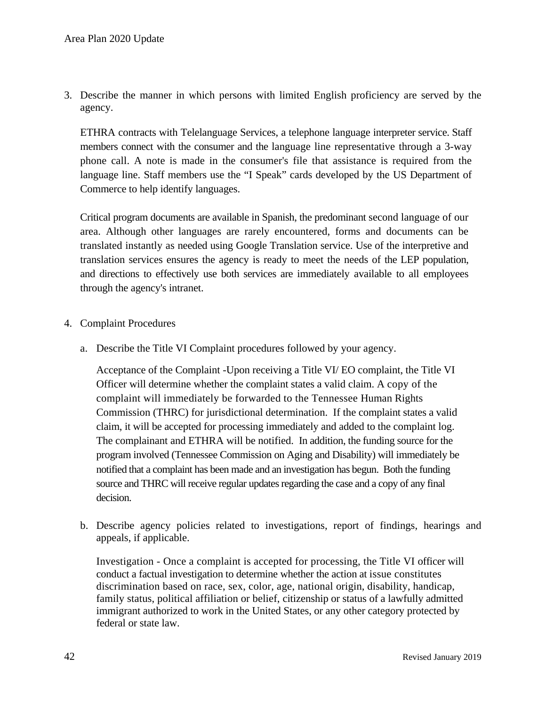3. Describe the manner in which persons with limited English proficiency are served by the agency.

ETHRA contracts with Telelanguage Services, a telephone language interpreter service. Staff members connect with the consumer and the language line representative through a 3-way phone call. A note is made in the consumer's file that assistance is required from the language line. Staff members use the "I Speak" cards developed by the US Department of Commerce to help identify languages.

Critical program documents are available in Spanish, the predominant second language of our area. Although other languages are rarely encountered, forms and documents can be translated instantly as needed using Google Translation service. Use of the interpretive and translation services ensures the agency is ready to meet the needs of the LEP population, and directions to effectively use both services are immediately available to all employees through the agency's intranet.

- 4. Complaint Procedures
	- a. Describe the Title VI Complaint procedures followed by your agency.

Acceptance of the Complaint -Upon receiving a Title VI/ EO complaint, the Title VI Officer will determine whether the complaint states a valid claim. A copy of the complaint will immediately be forwarded to the Tennessee Human Rights Commission (THRC) for jurisdictional determination. If the complaint states a valid claim, it will be accepted for processing immediately and added to the complaint log. The complainant and ETHRA will be notified. In addition, the funding source for the program involved (Tennessee Commission on Aging and Disability) will immediately be notified that a complaint has been made and an investigation has begun. Both the funding source and THRC will receive regular updates regarding the case and a copy of any final decision.

b. Describe agency policies related to investigations, report of findings, hearings and appeals, if applicable.

Investigation - Once a complaint is accepted for processing, the Title VI officer will conduct a factual investigation to determine whether the action at issue constitutes discrimination based on race, sex, color, age, national origin, disability, handicap, family status, political affiliation or belief, citizenship or status of a lawfully admitted immigrant authorized to work in the United States, or any other category protected by federal or state law.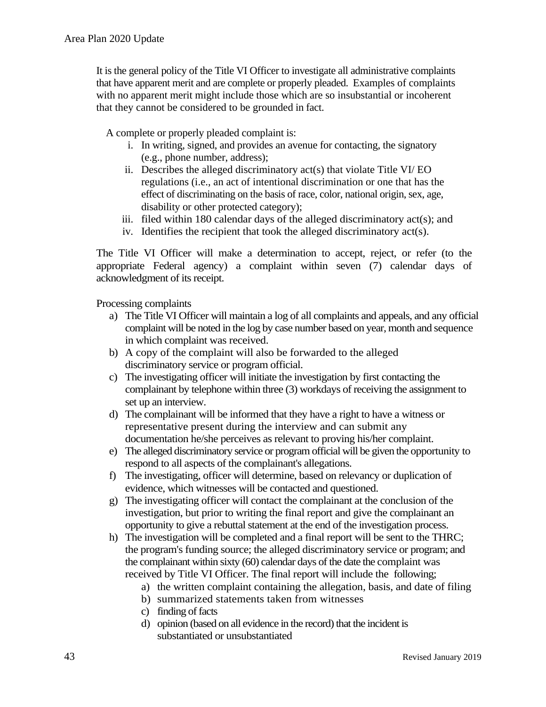It is the general policy of the Title VI Officer to investigate all administrative complaints that have apparent merit and are complete or properly pleaded. Examples of complaints with no apparent merit might include those which are so insubstantial or incoherent that they cannot be considered to be grounded in fact.

A complete or properly pleaded complaint is:

- i. In writing, signed, and provides an avenue for contacting, the signatory (e.g., phone number, address);
- ii. Describes the alleged discriminatory act(s) that violate Title VI/ EO regulations (i.e., an act of intentional discrimination or one that has the effect of discriminating on the basis of race, color, national origin, sex, age, disability or other protected category);
- iii. filed within 180 calendar days of the alleged discriminatory act(s); and
- iv. Identifies the recipient that took the alleged discriminatory act(s).

The Title VI Officer will make a determination to accept, reject, or refer (to the appropriate Federal agency) a complaint within seven (7) calendar days of acknowledgment of its receipt.

Processing complaints

- a) The Title VI Officer will maintain a log of all complaints and appeals, and any official complaint will be noted in the log by case number based on year, month and sequence in which complaint was received.
- b) A copy of the complaint will also be forwarded to the alleged discriminatory service or program official.
- c) The investigating officer will initiate the investigation by first contacting the complainant by telephone within three (3) workdays of receiving the assignment to set up an interview.
- d) The complainant will be informed that they have a right to have a witness or representative present during the interview and can submit any documentation he/she perceives as relevant to proving his/her complaint.
- e) The alleged discriminatory service or program official will be given the opportunity to respond to all aspects of the complainant's allegations.
- f) The investigating, officer will determine, based on relevancy or duplication of evidence, which witnesses will be contacted and questioned.
- g) The investigating officer will contact the complainant at the conclusion of the investigation, but prior to writing the final report and give the complainant an opportunity to give a rebuttal statement at the end of the investigation process.
- h) The investigation will be completed and a final report will be sent to the THRC; the program's funding source; the alleged discriminatory service or program; and the complainant within sixty (60) calendar days of the date the complaint was received by Title VI Officer. The final report will include the following;
	- a) the written complaint containing the allegation, basis, and date of filing
	- b) summarized statements taken from witnesses
	- c) finding of facts
	- d) opinion (based on all evidence in the record) that the incident is substantiated or unsubstantiated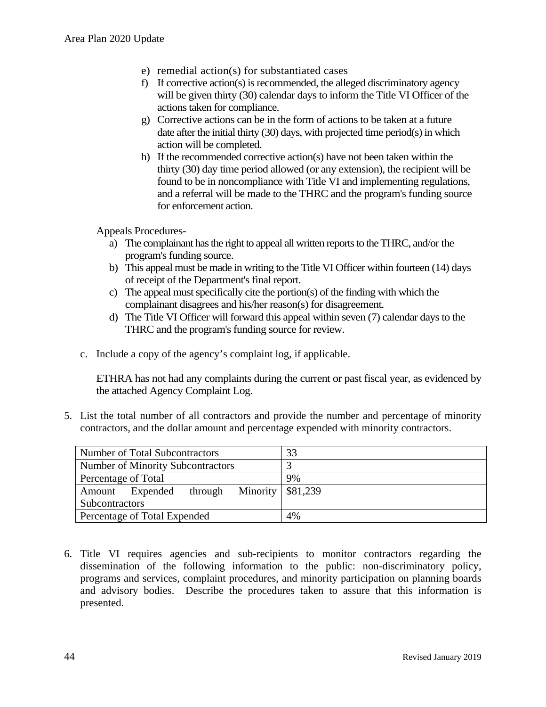- e) remedial action(s) for substantiated cases
- f) If corrective action(s) is recommended, the alleged discriminatory agency will be given thirty (30) calendar days to inform the Title VI Officer of the actions taken for compliance.
- g) Corrective actions can be in the form of actions to be taken at a future date after the initial thirty (30) days, with projected time period(s) in which action will be completed.
- h) If the recommended corrective action(s) have not been taken within the thirty (30) day time period allowed (or any extension), the recipient will be found to be in noncompliance with Title VI and implementing regulations, and a referral will be made to the THRC and the program's funding source for enforcement action.

Appeals Procedures-

- a) The complainant has the right to appeal all written reports to the THRC, and/or the program's funding source.
- b) This appeal must be made in writing to the Title VI Officer within fourteen (14) days of receipt of the Department's final report.
- c) The appeal must specifically cite the portion(s) of the finding with which the complainant disagrees and his/her reason(s) for disagreement.
- d) The Title VI Officer will forward this appeal within seven (7) calendar days to the THRC and the program's funding source for review.
- c. Include a copy of the agency's complaint log, if applicable.

ETHRA has not had any complaints during the current or past fiscal year, as evidenced by the attached Agency Complaint Log.

5. List the total number of all contractors and provide the number and percentage of minority contractors, and the dollar amount and percentage expended with minority contractors.

| Number of Total Subcontractors                          | 33 |
|---------------------------------------------------------|----|
| <b>Number of Minority Subcontractors</b>                |    |
| Percentage of Total                                     | 9% |
| through Minority $\frac{1}{881,239}$<br>Amount Expended |    |
| Subcontractors                                          |    |
| Percentage of Total Expended                            | 4% |

6. Title VI requires agencies and sub-recipients to monitor contractors regarding the dissemination of the following information to the public: non-discriminatory policy, programs and services, complaint procedures, and minority participation on planning boards and advisory bodies. Describe the procedures taken to assure that this information is presented.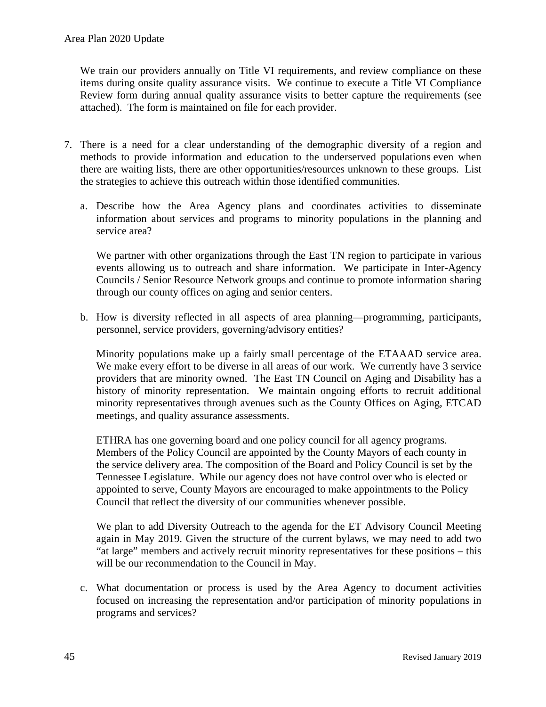We train our providers annually on Title VI requirements, and review compliance on these items during onsite quality assurance visits. We continue to execute a Title VI Compliance Review form during annual quality assurance visits to better capture the requirements (see attached). The form is maintained on file for each provider.

- 7. There is a need for a clear understanding of the demographic diversity of a region and methods to provide information and education to the underserved populations even when there are waiting lists, there are other opportunities/resources unknown to these groups. List the strategies to achieve this outreach within those identified communities.
	- a. Describe how the Area Agency plans and coordinates activities to disseminate information about services and programs to minority populations in the planning and service area?

We partner with other organizations through the East TN region to participate in various events allowing us to outreach and share information. We participate in Inter-Agency Councils / Senior Resource Network groups and continue to promote information sharing through our county offices on aging and senior centers.

b. How is diversity reflected in all aspects of area planning—programming, participants, personnel, service providers, governing/advisory entities?

Minority populations make up a fairly small percentage of the ETAAAD service area. We make every effort to be diverse in all areas of our work. We currently have 3 service providers that are minority owned. The East TN Council on Aging and Disability has a history of minority representation. We maintain ongoing efforts to recruit additional minority representatives through avenues such as the County Offices on Aging, ETCAD meetings, and quality assurance assessments.

ETHRA has one governing board and one policy council for all agency programs. Members of the Policy Council are appointed by the County Mayors of each county in the service delivery area. The composition of the Board and Policy Council is set by the Tennessee Legislature. While our agency does not have control over who is elected or appointed to serve, County Mayors are encouraged to make appointments to the Policy Council that reflect the diversity of our communities whenever possible.

We plan to add Diversity Outreach to the agenda for the ET Advisory Council Meeting again in May 2019. Given the structure of the current bylaws, we may need to add two "at large" members and actively recruit minority representatives for these positions – this will be our recommendation to the Council in May.

c. What documentation or process is used by the Area Agency to document activities focused on increasing the representation and/or participation of minority populations in programs and services?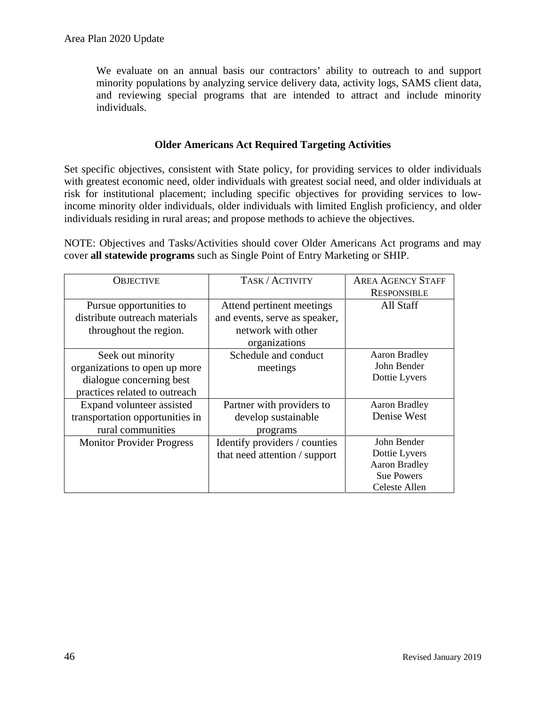We evaluate on an annual basis our contractors' ability to outreach to and support minority populations by analyzing service delivery data, activity logs, SAMS client data, and reviewing special programs that are intended to attract and include minority individuals.

#### **Older Americans Act Required Targeting Activities**

Set specific objectives, consistent with State policy, for providing services to older individuals with greatest economic need, older individuals with greatest social need, and older individuals at risk for institutional placement; including specific objectives for providing services to lowincome minority older individuals, older individuals with limited English proficiency, and older individuals residing in rural areas; and propose methods to achieve the objectives.

NOTE: Objectives and Tasks/Activities should cover Older Americans Act programs and may cover **all statewide programs** such as Single Point of Entry Marketing or SHIP.

| <b>OBJECTIVE</b>                 | TASK/ACTIVITY                 | <b>AREA AGENCY STAFF</b> |
|----------------------------------|-------------------------------|--------------------------|
|                                  |                               | <b>RESPONSIBLE</b>       |
| Pursue opportunities to          | Attend pertinent meetings     | All Staff                |
| distribute outreach materials    | and events, serve as speaker, |                          |
| throughout the region.           | network with other            |                          |
|                                  | organizations                 |                          |
| Seek out minority                | Schedule and conduct          | <b>Aaron Bradley</b>     |
| organizations to open up more    | meetings                      | John Bender              |
| dialogue concerning best         |                               | Dottie Lyvers            |
| practices related to outreach    |                               |                          |
| Expand volunteer assisted        | Partner with providers to     | <b>Aaron Bradley</b>     |
| transportation opportunities in  | develop sustainable           | Denise West              |
| rural communities                | programs                      |                          |
| <b>Monitor Provider Progress</b> | Identify providers / counties | John Bender              |
|                                  | that need attention / support | Dottie Lyvers            |
|                                  |                               | <b>Aaron Bradley</b>     |
|                                  |                               | <b>Sue Powers</b>        |
|                                  |                               | Celeste Allen            |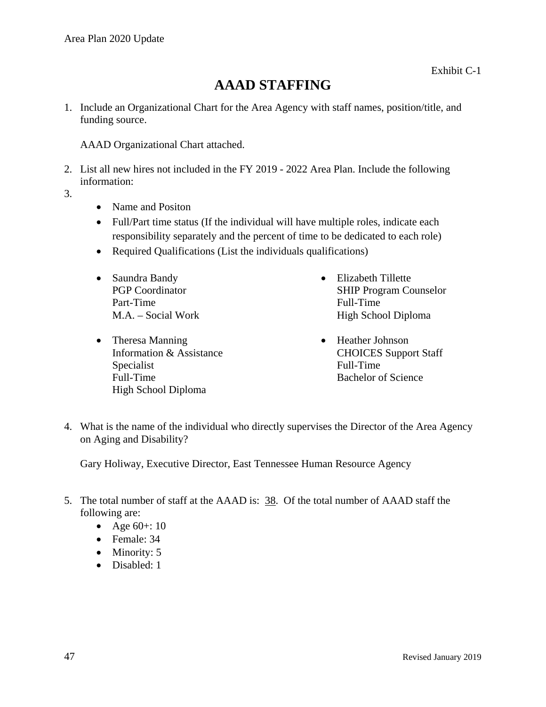### **AAAD STAFFING**

1. Include an Organizational Chart for the Area Agency with staff names, position/title, and funding source.

AAAD Organizational Chart attached.

- 2. List all new hires not included in the FY 2019 2022 Area Plan. Include the following information:
- 3.
- Name and Positon
- Full/Part time status (If the individual will have multiple roles, indicate each responsibility separately and the percent of time to be dedicated to each role)
- Required Qualifications (List the individuals qualifications)
- Saundra Bandy PGP Coordinator Part-Time M.A. – Social Work
- Theresa Manning Information & Assistance Specialist Full-Time High School Diploma
- Elizabeth Tillette SHIP Program Counselor Full-Time High School Diploma
- Heather Johnson CHOICES Support Staff Full-Time Bachelor of Science
- 4. What is the name of the individual who directly supervises the Director of the Area Agency on Aging and Disability?

Gary Holiway, Executive Director, East Tennessee Human Resource Agency

- 5. The total number of staff at the AAAD is: 38. Of the total number of AAAD staff the following are:
	- Age  $60+:10$
	- Female: 34
	- Minority: 5
	- Disabled: 1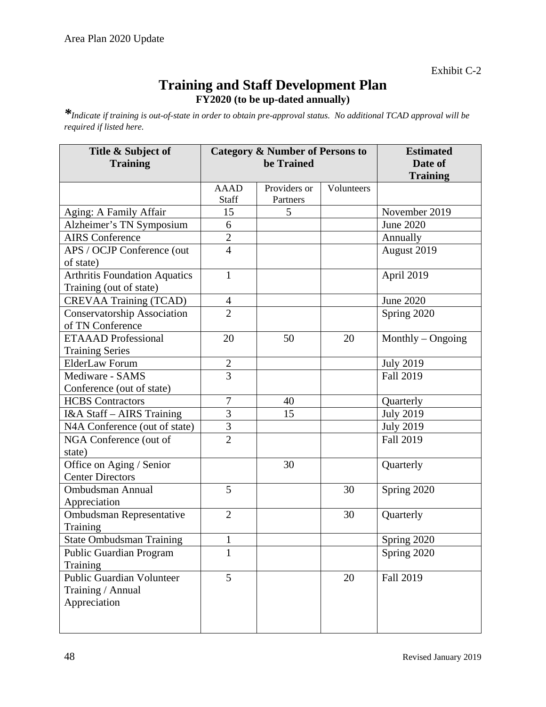Exhibit C-2

### **Training and Staff Development Plan FY2020 (to be up-dated annually)**

*\*Indicate if training is out-of-state in order to obtain pre-approval status. No additional TCAD approval will be required if listed here.*

| Title & Subject of<br><b>Training</b>                                 |                          | <b>Category &amp; Number of Persons to</b><br>be Trained | <b>Estimated</b><br>Date of |                     |
|-----------------------------------------------------------------------|--------------------------|----------------------------------------------------------|-----------------------------|---------------------|
|                                                                       |                          |                                                          | <b>Training</b>             |                     |
|                                                                       | <b>AAAD</b><br>Staff     | Providers or<br>Partners                                 | Volunteers                  |                     |
| Aging: A Family Affair                                                | 15                       | 5                                                        |                             | November 2019       |
| Alzheimer's TN Symposium                                              | 6                        |                                                          |                             | <b>June 2020</b>    |
| <b>AIRS</b> Conference                                                | $\overline{2}$           |                                                          |                             | Annually            |
| APS / OCJP Conference (out                                            | $\overline{4}$           |                                                          |                             | August 2019         |
| of state)                                                             |                          |                                                          |                             |                     |
| <b>Arthritis Foundation Aquatics</b><br>Training (out of state)       | $\mathbf{1}$             |                                                          |                             | April 2019          |
| <b>CREVAA Training (TCAD)</b>                                         | $\overline{\mathcal{A}}$ |                                                          |                             | June 2020           |
| <b>Conservatorship Association</b><br>of TN Conference                | $\overline{2}$           |                                                          |                             | Spring 2020         |
| <b>ETAAAD</b> Professional<br><b>Training Series</b>                  | 20                       | 50                                                       | 20                          | Monthly $-$ Ongoing |
| <b>ElderLaw Forum</b>                                                 |                          |                                                          |                             | <b>July 2019</b>    |
| Mediware - SAMS                                                       | $\frac{2}{3}$            |                                                          |                             | <b>Fall 2019</b>    |
| Conference (out of state)                                             |                          |                                                          |                             |                     |
| <b>HCBS</b> Contractors                                               | 7                        | 40                                                       |                             | Quarterly           |
| I&A Staff - AIRS Training                                             | 3                        | 15                                                       |                             | <b>July 2019</b>    |
| N4A Conference (out of state)                                         | 3                        |                                                          |                             | <b>July 2019</b>    |
| NGA Conference (out of<br>state)                                      | $\overline{2}$           |                                                          |                             | <b>Fall 2019</b>    |
| Office on Aging / Senior<br><b>Center Directors</b>                   |                          | 30                                                       |                             | Quarterly           |
| <b>Ombudsman Annual</b><br>Appreciation                               | 5                        |                                                          | 30                          | Spring 2020         |
| Ombudsman Representative<br>Training                                  | $\overline{2}$           |                                                          | 30                          | Quarterly           |
| <b>State Ombudsman Training</b>                                       |                          |                                                          |                             | Spring 2020         |
| <b>Public Guardian Program</b>                                        | $\mathbf{1}$             |                                                          |                             | Spring 2020         |
| Training                                                              |                          |                                                          |                             |                     |
| <b>Public Guardian Volunteer</b><br>Training / Annual<br>Appreciation | 5                        |                                                          | 20                          | Fall 2019           |
|                                                                       |                          |                                                          |                             |                     |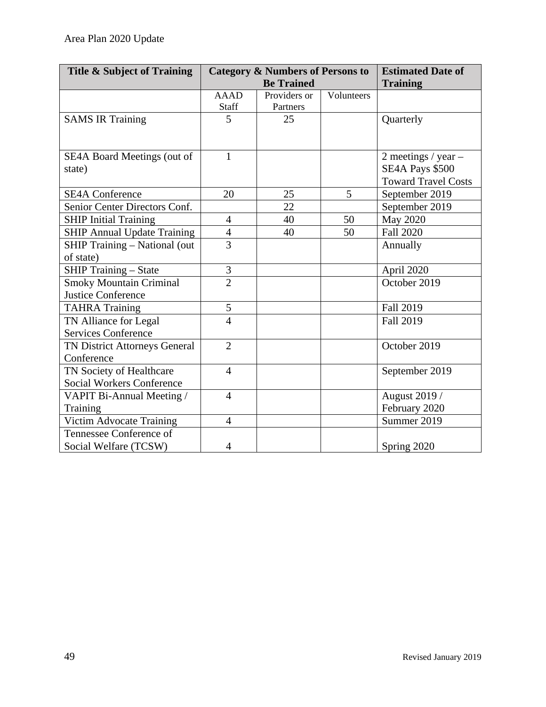| Title & Subject of Training          | <b>Category &amp; Numbers of Persons to</b> |                   |            | <b>Estimated Date of</b>   |
|--------------------------------------|---------------------------------------------|-------------------|------------|----------------------------|
|                                      |                                             | <b>Be Trained</b> |            | <b>Training</b>            |
|                                      | <b>AAAD</b>                                 | Providers or      | Volunteers |                            |
|                                      | <b>Staff</b>                                | Partners          |            |                            |
| <b>SAMS IR Training</b>              | 5                                           | 25                |            | Quarterly                  |
|                                      |                                             |                   |            |                            |
| SE4A Board Meetings (out of          | $\mathbf{1}$                                |                   |            | 2 meetings / $year -$      |
| state)                               |                                             |                   |            | SE4A Pays \$500            |
|                                      |                                             |                   |            | <b>Toward Travel Costs</b> |
| <b>SE4A Conference</b>               | 20                                          | 25                | 5          | September 2019             |
| Senior Center Directors Conf.        |                                             | 22                |            | September 2019             |
| <b>SHIP Initial Training</b>         | $\overline{4}$                              | 40                | 50         | <b>May 2020</b>            |
| <b>SHIP Annual Update Training</b>   | $\overline{4}$                              | 40                | 50         | <b>Fall 2020</b>           |
| <b>SHIP Training - National (out</b> | $\overline{3}$                              |                   |            | Annually                   |
| of state)                            |                                             |                   |            |                            |
| <b>SHIP Training - State</b>         | 3                                           |                   |            | April 2020                 |
| <b>Smoky Mountain Criminal</b>       | $\overline{2}$                              |                   |            | October 2019               |
| <b>Justice Conference</b>            |                                             |                   |            |                            |
| <b>TAHRA Training</b>                | 5                                           |                   |            | <b>Fall 2019</b>           |
| TN Alliance for Legal                | $\overline{4}$                              |                   |            | <b>Fall 2019</b>           |
| <b>Services Conference</b>           |                                             |                   |            |                            |
| TN District Attorneys General        | $\overline{2}$                              |                   |            | October 2019               |
| Conference                           |                                             |                   |            |                            |
| TN Society of Healthcare             | $\overline{4}$                              |                   |            | September 2019             |
| <b>Social Workers Conference</b>     |                                             |                   |            |                            |
| VAPIT Bi-Annual Meeting /            | $\overline{4}$                              |                   |            | August 2019 /              |
| Training                             |                                             |                   |            | February 2020              |
| Victim Advocate Training             | $\overline{4}$                              |                   |            | Summer 2019                |
| Tennessee Conference of              |                                             |                   |            |                            |
| Social Welfare (TCSW)                | $\overline{4}$                              |                   |            | Spring 2020                |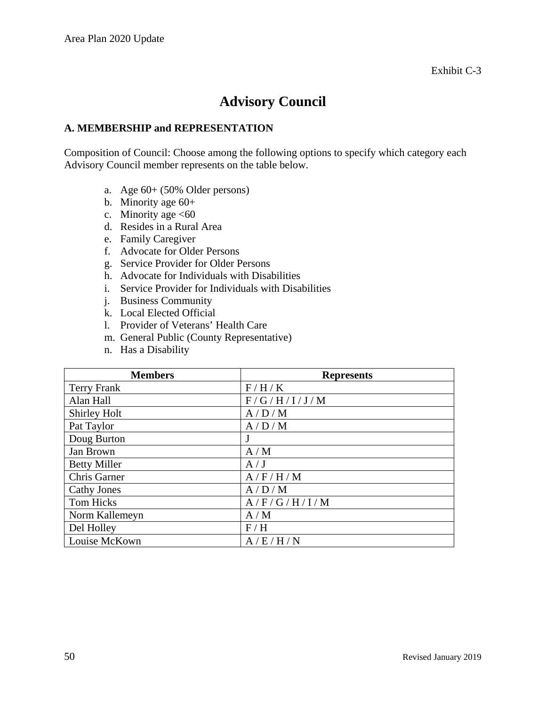### **Advisory Council**

#### **A. MEMBERSHIP and REPRESENTATION**

Composition of Council: Choose among the following options to specify which category each Advisory Council member represents on the table below.

- a. Age 60+ (50% Older persons)
- b. Minority age 60+
- c. Minority age  $<60$
- d. Resides in a Rural Area
- e. Family Caregiver
- f. Advocate for Older Persons
- g. Service Provider for Older Persons
- h. Advocate for Individuals with Disabilities
- i. Service Provider for Individuals with Disabilities
- j. Business Community
- k. Local Elected Official
- l. Provider of Veterans' Health Care
- m. General Public (County Representative)
- n. Has a Disability

| <b>Members</b>      | <b>Represents</b> |
|---------------------|-------------------|
| <b>Terry Frank</b>  | F/H/K             |
| Alan Hall           | F/G/H/I/J/M       |
| Shirley Holt        | A/D/M             |
| Pat Taylor          | A/D/M             |
| Doug Burton         | J                 |
| Jan Brown           | A/M               |
| <b>Betty Miller</b> | A/J               |
| Chris Garner        | A/F/H/M           |
| <b>Cathy Jones</b>  | A/D/M             |
| Tom Hicks           | A/F/G/H/I/M       |
| Norm Kallemeyn      | A/M               |
| Del Holley          | F/H               |
| Louise McKown       | A/E/H/N           |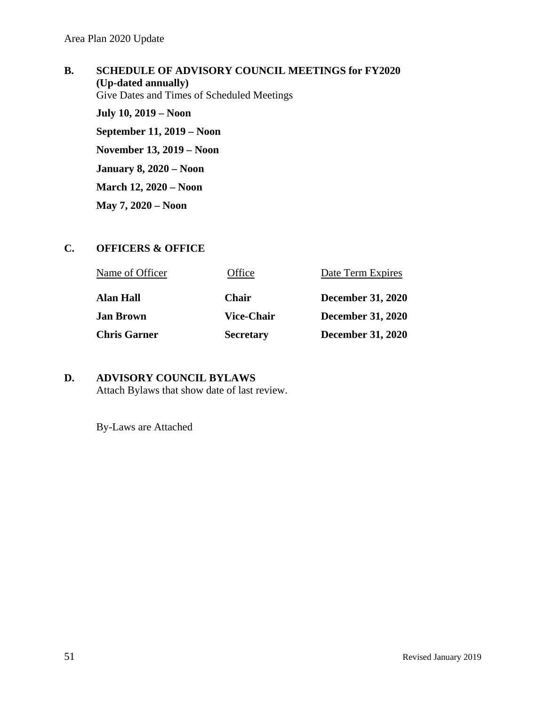**B. SCHEDULE OF ADVISORY COUNCIL MEETINGS for FY2020 (Up-dated annually)** Give Dates and Times of Scheduled Meetings **July 10, 2019 – Noon September 11, 2019 – Noon November 13, 2019 – Noon January 8, 2020 – Noon March 12, 2020 – Noon May 7, 2020 – Noon**

#### **C. OFFICERS & OFFICE**

| Name of Officer     | Office            | Date Term Expires        |
|---------------------|-------------------|--------------------------|
| <b>Alan Hall</b>    | <b>Chair</b>      | <b>December 31, 2020</b> |
| <b>Jan Brown</b>    | <b>Vice-Chair</b> | <b>December 31, 2020</b> |
| <b>Chris Garner</b> | <b>Secretary</b>  | <b>December 31, 2020</b> |

#### **D. ADVISORY COUNCIL BYLAWS** Attach Bylaws that show date of last review.

By-Laws are Attached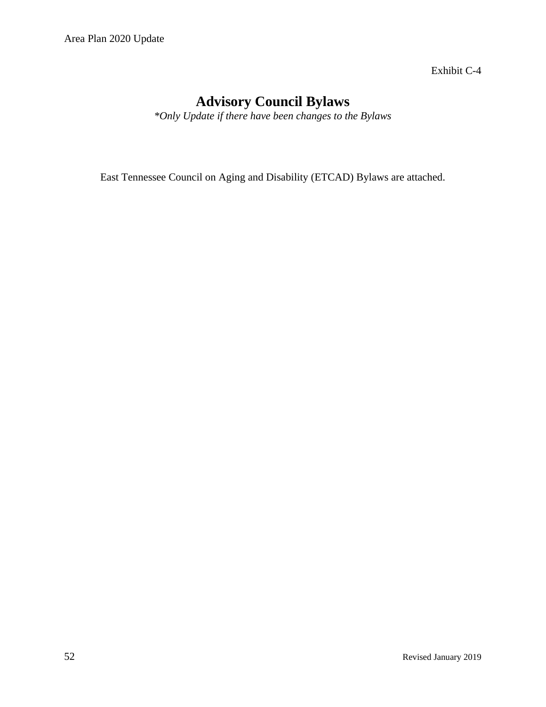Exhibit C-4

### **Advisory Council Bylaws**

*\*Only Update if there have been changes to the Bylaws*

East Tennessee Council on Aging and Disability (ETCAD) Bylaws are attached.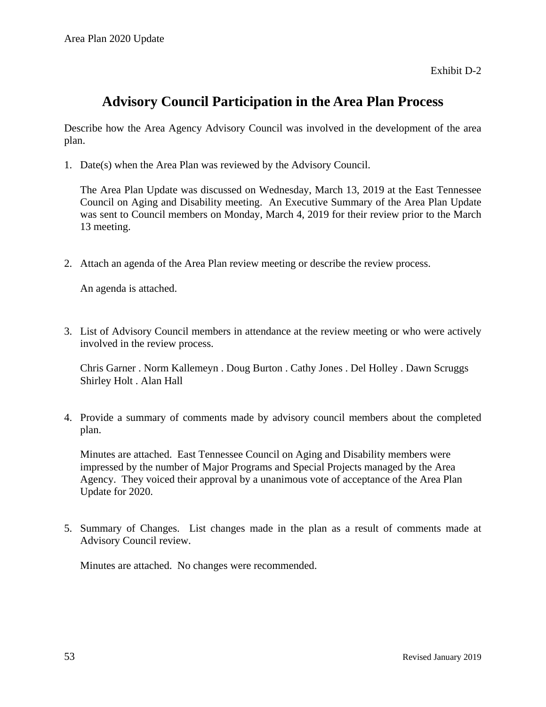Exhibit D-2

### **Advisory Council Participation in the Area Plan Process**

Describe how the Area Agency Advisory Council was involved in the development of the area plan.

1. Date(s) when the Area Plan was reviewed by the Advisory Council.

The Area Plan Update was discussed on Wednesday, March 13, 2019 at the East Tennessee Council on Aging and Disability meeting. An Executive Summary of the Area Plan Update was sent to Council members on Monday, March 4, 2019 for their review prior to the March 13 meeting.

2. Attach an agenda of the Area Plan review meeting or describe the review process.

An agenda is attached.

3. List of Advisory Council members in attendance at the review meeting or who were actively involved in the review process.

Chris Garner . Norm Kallemeyn . Doug Burton . Cathy Jones . Del Holley . Dawn Scruggs Shirley Holt . Alan Hall

4. Provide a summary of comments made by advisory council members about the completed plan.

Minutes are attached. East Tennessee Council on Aging and Disability members were impressed by the number of Major Programs and Special Projects managed by the Area Agency. They voiced their approval by a unanimous vote of acceptance of the Area Plan Update for 2020.

5. Summary of Changes. List changes made in the plan as a result of comments made at Advisory Council review.

Minutes are attached. No changes were recommended.